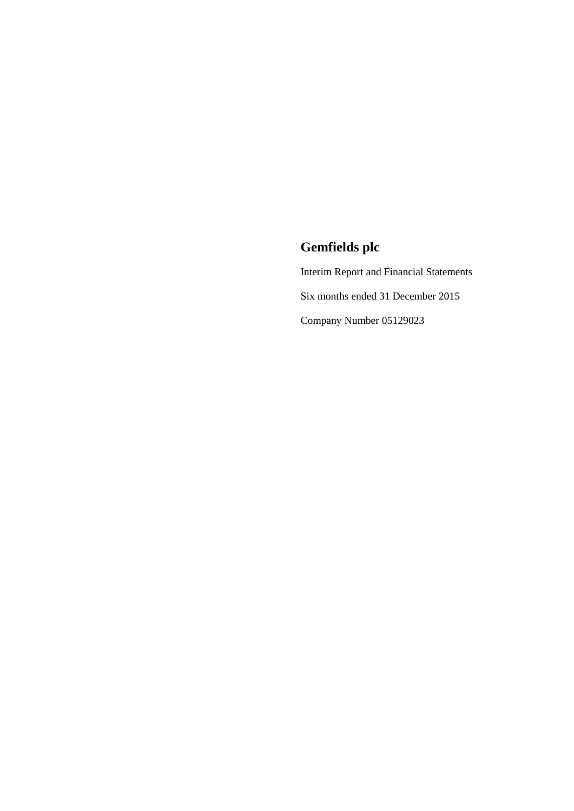Interim Report and Financial Statements Six months ended 31 December 2015 Company Number 05129023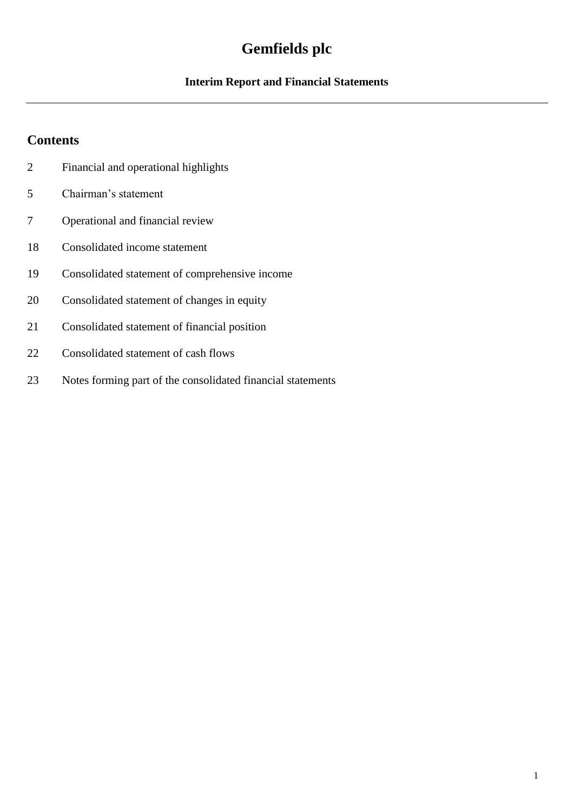## **Interim Report and Financial Statements**

## **Contents**

- Financial and operational highlights
- Chairman's statement
- Operational and financial review
- Consolidated income statement
- Consolidated statement of comprehensive income
- Consolidated statement of changes in equity
- Consolidated statement of financial position
- Consolidated statement of cash flows
- Notes forming part of the consolidated financial statements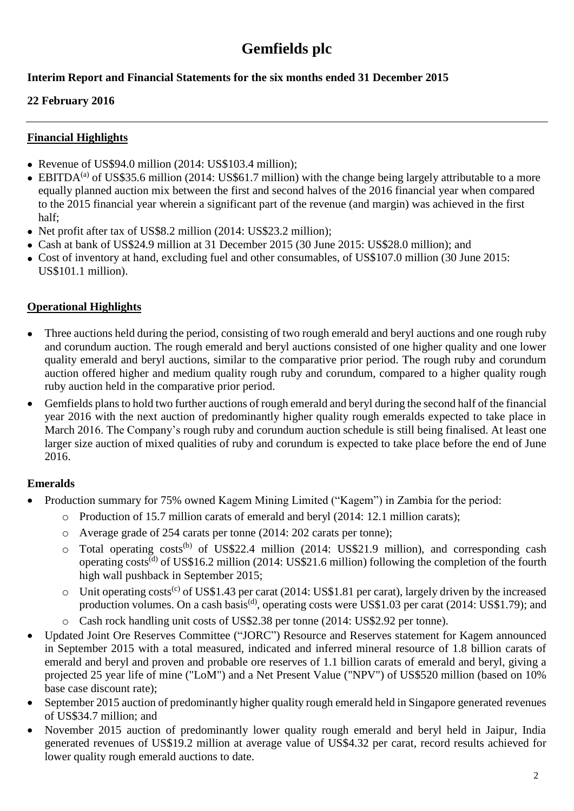## **Interim Report and Financial Statements for the six months ended 31 December 2015**

### **22 February 2016**

### **Financial Highlights**

- Revenue of US\$94.0 million (2014: US\$103.4 million):
- $\bullet$  EBITDA<sup>(a)</sup> of US\$35.6 million (2014: US\$61.7 million) with the change being largely attributable to a more equally planned auction mix between the first and second halves of the 2016 financial year when compared to the 2015 financial year wherein a significant part of the revenue (and margin) was achieved in the first half;
- Net profit after tax of US\$8.2 million (2014: US\$23.2 million);
- Cash at bank of US\$24.9 million at 31 December 2015 (30 June 2015: US\$28.0 million); and
- Cost of inventory at hand, excluding fuel and other consumables, of US\$107.0 million (30 June 2015: US\$101.1 million).

## **Operational Highlights**

- Three auctions held during the period, consisting of two rough emerald and beryl auctions and one rough ruby and corundum auction. The rough emerald and beryl auctions consisted of one higher quality and one lower quality emerald and beryl auctions, similar to the comparative prior period. The rough ruby and corundum auction offered higher and medium quality rough ruby and corundum, compared to a higher quality rough ruby auction held in the comparative prior period.
- Gemfields plans to hold two further auctions of rough emerald and beryl during the second half of the financial year 2016 with the next auction of predominantly higher quality rough emeralds expected to take place in March 2016. The Company's rough ruby and corundum auction schedule is still being finalised. At least one larger size auction of mixed qualities of ruby and corundum is expected to take place before the end of June 2016.

## **Emeralds**

- Production summary for 75% owned Kagem Mining Limited ("Kagem") in Zambia for the period:
	- o Production of 15.7 million carats of emerald and beryl (2014: 12.1 million carats);
	- o Average grade of 254 carats per tonne (2014: 202 carats per tonne);
	- o Total operating costs<sup>(b)</sup> of US\$22.4 million (2014: US\$21.9 million), and corresponding cash operating costs(d) of US\$16.2 million (2014: US\$21.6 million) following the completion of the fourth high wall pushback in September 2015;
	- $\circ$  Unit operating costs<sup>(c)</sup> of US\$1.43 per carat (2014: US\$1.81 per carat), largely driven by the increased production volumes. On a cash basis<sup>(d)</sup>, operating costs were US\$1.03 per carat (2014: US\$1.79); and
	- o Cash rock handling unit costs of US\$2.38 per tonne (2014: US\$2.92 per tonne).
- Updated Joint Ore Reserves Committee ("JORC") Resource and Reserves statement for Kagem announced in September 2015 with a total measured, indicated and inferred mineral resource of 1.8 billion carats of emerald and beryl and proven and probable ore reserves of 1.1 billion carats of emerald and beryl, giving a projected 25 year life of mine ("LoM") and a Net Present Value ("NPV") of US\$520 million (based on 10% base case discount rate);
- September 2015 auction of predominantly higher quality rough emerald held in Singapore generated revenues of US\$34.7 million; and
- November 2015 auction of predominantly lower quality rough emerald and beryl held in Jaipur, India generated revenues of US\$19.2 million at average value of US\$4.32 per carat, record results achieved for lower quality rough emerald auctions to date.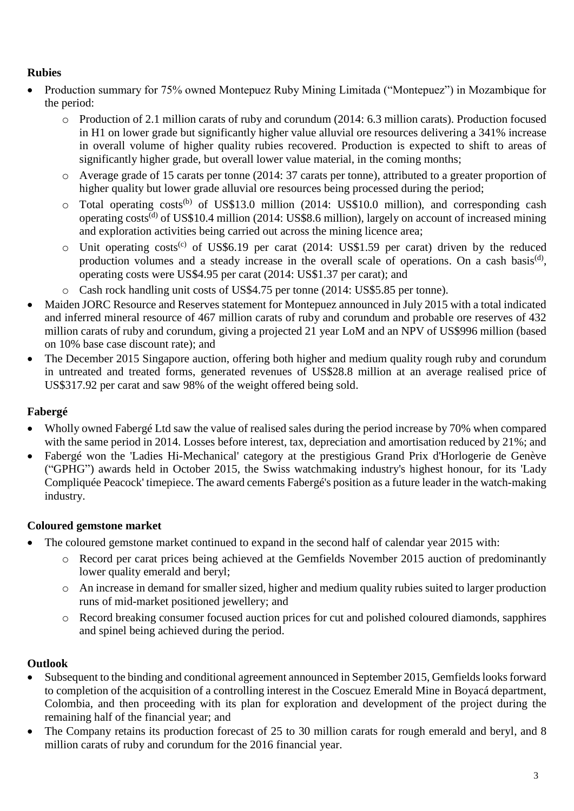## **Rubies**

- Production summary for 75% owned Montepuez Ruby Mining Limitada ("Montepuez") in Mozambique for the period:
	- o Production of 2.1 million carats of ruby and corundum (2014: 6.3 million carats). Production focused in H1 on lower grade but significantly higher value alluvial ore resources delivering a 341% increase in overall volume of higher quality rubies recovered. Production is expected to shift to areas of significantly higher grade, but overall lower value material, in the coming months;
	- o Average grade of 15 carats per tonne (2014: 37 carats per tonne), attributed to a greater proportion of higher quality but lower grade alluvial ore resources being processed during the period;
	- $\circ$  Total operating costs<sup>(b)</sup> of US\$13.0 million (2014: US\$10.0 million), and corresponding cash operating costs<sup>(d)</sup> of US\$10.4 million (2014: US\$8.6 million), largely on account of increased mining and exploration activities being carried out across the mining licence area;
	- $\circ$  Unit operating costs<sup>(c)</sup> of US\$6.19 per carat (2014: US\$1.59 per carat) driven by the reduced production volumes and a steady increase in the overall scale of operations. On a cash basis<sup>(d)</sup>, operating costs were US\$4.95 per carat (2014: US\$1.37 per carat); and
	- o Cash rock handling unit costs of US\$4.75 per tonne (2014: US\$5.85 per tonne).
- Maiden JORC Resource and Reserves statement for Montepuez announced in July 2015 with a total indicated and inferred mineral resource of 467 million carats of ruby and corundum and probable ore reserves of 432 million carats of ruby and corundum, giving a projected 21 year LoM and an NPV of US\$996 million (based on 10% base case discount rate); and
- The December 2015 Singapore auction, offering both higher and medium quality rough ruby and corundum in untreated and treated forms, generated revenues of US\$28.8 million at an average realised price of US\$317.92 per carat and saw 98% of the weight offered being sold.

## **Fabergé**

- Wholly owned Fabergé Ltd saw the value of realised sales during the period increase by 70% when compared with the same period in 2014. Losses before interest, tax, depreciation and amortisation reduced by 21%; and
- Fabergé won the 'Ladies Hi-Mechanical' category at the prestigious Grand Prix d'Horlogerie de Genève ("GPHG") awards held in October 2015, the Swiss watchmaking industry's highest honour, for its 'Lady Compliquée Peacock' timepiece. The award cements Fabergé's position as a future leader in the watch-making industry.

## **Coloured gemstone market**

- The coloured gemstone market continued to expand in the second half of calendar year 2015 with:
	- o Record per carat prices being achieved at the Gemfields November 2015 auction of predominantly lower quality emerald and beryl;
	- o An increase in demand for smaller sized, higher and medium quality rubies suited to larger production runs of mid-market positioned jewellery; and
	- o Record breaking consumer focused auction prices for cut and polished coloured diamonds, sapphires and spinel being achieved during the period.

## **Outlook**

- Subsequent to the binding and conditional agreement announced in September 2015, Gemfields looks forward to completion of the acquisition of a controlling interest in the Coscuez Emerald Mine in Boyacá department, Colombia, and then proceeding with its plan for exploration and development of the project during the remaining half of the financial year; and
- The Company retains its production forecast of 25 to 30 million carats for rough emerald and beryl, and 8 million carats of ruby and corundum for the 2016 financial year.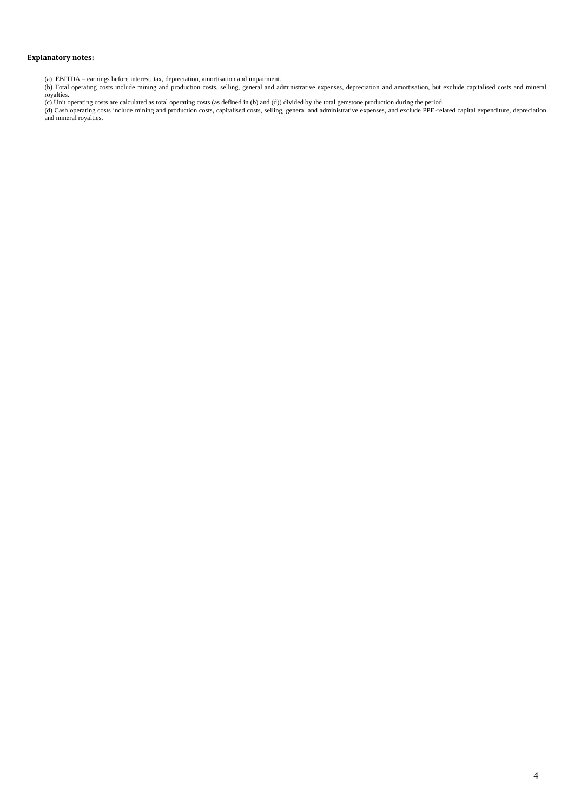#### **Explanatory notes:**

- (a) EBITDA earnings before interest, tax, depreciation, amortisation and impairment.
- (b) Total operating costs include mining and production costs, selling, general and administrative expenses, depreciation and amortisation, but exclude capitalised costs and mineral royalties.

(c) Unit operating costs are calculated as total operating costs (as defined in (b) and (d)) divided by the total gemstone production during the period.

(d) Cash operating costs include mining and production costs, capitalised costs, selling, general and administrative expenses, and exclude PPE-related capital expenditure, depreciation and mineral royalties.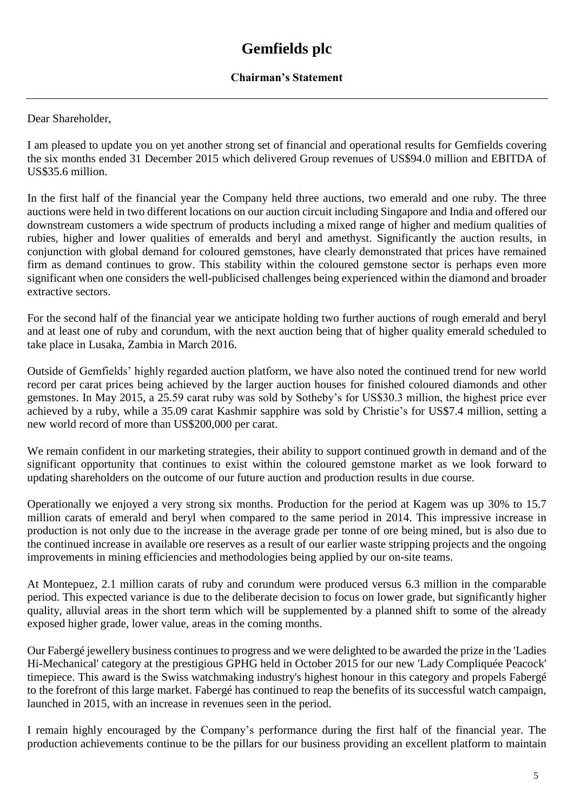#### **Chairman's Statement**

Dear Shareholder,

I am pleased to update you on yet another strong set of financial and operational results for Gemfields covering the six months ended 31 December 2015 which delivered Group revenues of US\$94.0 million and EBITDA of US\$35.6 million.

In the first half of the financial year the Company held three auctions, two emerald and one ruby. The three auctions were held in two different locations on our auction circuit including Singapore and India and offered our downstream customers a wide spectrum of products including a mixed range of higher and medium qualities of rubies, higher and lower qualities of emeralds and beryl and amethyst. Significantly the auction results, in conjunction with global demand for coloured gemstones, have clearly demonstrated that prices have remained firm as demand continues to grow. This stability within the coloured gemstone sector is perhaps even more significant when one considers the well-publicised challenges being experienced within the diamond and broader extractive sectors.

For the second half of the financial year we anticipate holding two further auctions of rough emerald and beryl and at least one of ruby and corundum, with the next auction being that of higher quality emerald scheduled to take place in Lusaka, Zambia in March 2016.

Outside of Gemfields' highly regarded auction platform, we have also noted the continued trend for new world record per carat prices being achieved by the larger auction houses for finished coloured diamonds and other gemstones. In May 2015, a 25.59 carat ruby was sold by Sotheby's for US\$30.3 million, the highest price ever achieved by a ruby, while a 35.09 carat Kashmir sapphire was sold by Christie's for US\$7.4 million, setting a new world record of more than US\$200,000 per carat.

We remain confident in our marketing strategies, their ability to support continued growth in demand and of the significant opportunity that continues to exist within the coloured gemstone market as we look forward to updating shareholders on the outcome of our future auction and production results in due course.

Operationally we enjoyed a very strong six months. Production for the period at Kagem was up 30% to 15.7 million carats of emerald and beryl when compared to the same period in 2014. This impressive increase in production is not only due to the increase in the average grade per tonne of ore being mined, but is also due to the continued increase in available ore reserves as a result of our earlier waste stripping projects and the ongoing improvements in mining efficiencies and methodologies being applied by our on-site teams.

At Montepuez, 2.1 million carats of ruby and corundum were produced versus 6.3 million in the comparable period. This expected variance is due to the deliberate decision to focus on lower grade, but significantly higher quality, alluvial areas in the short term which will be supplemented by a planned shift to some of the already exposed higher grade, lower value, areas in the coming months.

Our Fabergé jewellery business continues to progress and we were delighted to be awarded the prize in the 'Ladies Hi-Mechanical' category at the prestigious GPHG held in October 2015 for our new 'Lady Compliquée Peacock' timepiece. This award is the Swiss watchmaking industry's highest honour in this category and propels Fabergé to the forefront of this large market. Fabergé has continued to reap the benefits of its successful watch campaign, launched in 2015, with an increase in revenues seen in the period.

I remain highly encouraged by the Company's performance during the first half of the financial year. The production achievements continue to be the pillars for our business providing an excellent platform to maintain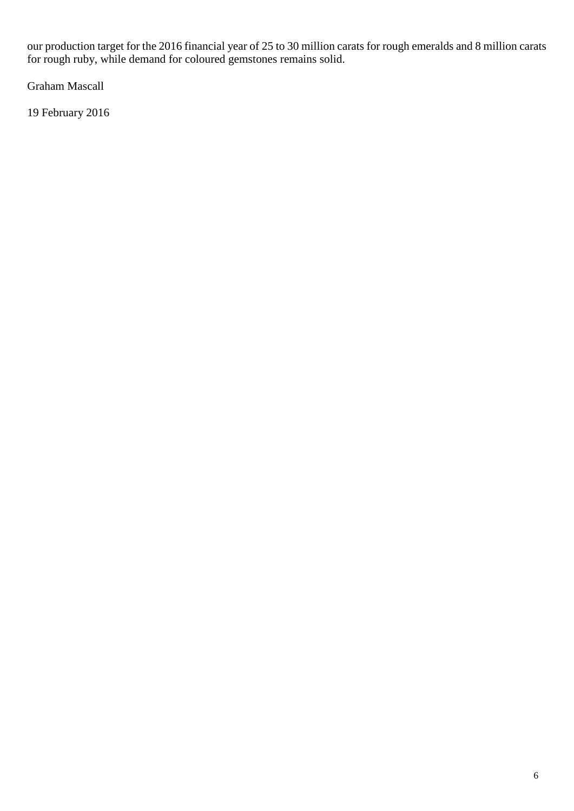our production target for the 2016 financial year of 25 to 30 million carats for rough emeralds and 8 million carats for rough ruby, while demand for coloured gemstones remains solid.

Graham Mascall

19 February 2016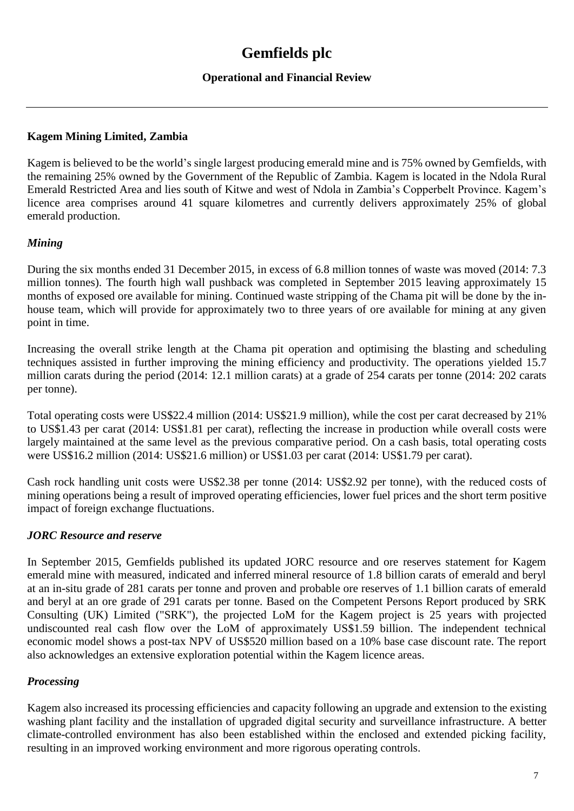### **Operational and Financial Review**

#### **Kagem Mining Limited, Zambia**

Kagem is believed to be the world's single largest producing emerald mine and is 75% owned by Gemfields, with the remaining 25% owned by the Government of the Republic of Zambia. Kagem is located in the Ndola Rural Emerald Restricted Area and lies south of Kitwe and west of Ndola in Zambia's Copperbelt Province. Kagem's licence area comprises around 41 square kilometres and currently delivers approximately 25% of global emerald production.

#### *Mining*

During the six months ended 31 December 2015, in excess of 6.8 million tonnes of waste was moved (2014: 7.3 million tonnes). The fourth high wall pushback was completed in September 2015 leaving approximately 15 months of exposed ore available for mining. Continued waste stripping of the Chama pit will be done by the inhouse team, which will provide for approximately two to three years of ore available for mining at any given point in time.

Increasing the overall strike length at the Chama pit operation and optimising the blasting and scheduling techniques assisted in further improving the mining efficiency and productivity. The operations yielded 15.7 million carats during the period (2014: 12.1 million carats) at a grade of 254 carats per tonne (2014: 202 carats per tonne).

Total operating costs were US\$22.4 million (2014: US\$21.9 million), while the cost per carat decreased by 21% to US\$1.43 per carat (2014: US\$1.81 per carat), reflecting the increase in production while overall costs were largely maintained at the same level as the previous comparative period. On a cash basis, total operating costs were US\$16.2 million (2014: US\$21.6 million) or US\$1.03 per carat (2014: US\$1.79 per carat).

Cash rock handling unit costs were US\$2.38 per tonne (2014: US\$2.92 per tonne), with the reduced costs of mining operations being a result of improved operating efficiencies, lower fuel prices and the short term positive impact of foreign exchange fluctuations.

#### *JORC Resource and reserve*

In September 2015, Gemfields published its updated JORC resource and ore reserves statement for Kagem emerald mine with measured, indicated and inferred mineral resource of 1.8 billion carats of emerald and beryl at an in-situ grade of 281 carats per tonne and proven and probable ore reserves of 1.1 billion carats of emerald and beryl at an ore grade of 291 carats per tonne. Based on the Competent Persons Report produced by SRK Consulting (UK) Limited ("SRK"), the projected LoM for the Kagem project is 25 years with projected undiscounted real cash flow over the LoM of approximately US\$1.59 billion. The independent technical economic model shows a post-tax NPV of US\$520 million based on a 10% base case discount rate. The report also acknowledges an extensive exploration potential within the Kagem licence areas.

#### *Processing*

Kagem also increased its processing efficiencies and capacity following an upgrade and extension to the existing washing plant facility and the installation of upgraded digital security and surveillance infrastructure. A better climate-controlled environment has also been established within the enclosed and extended picking facility, resulting in an improved working environment and more rigorous operating controls.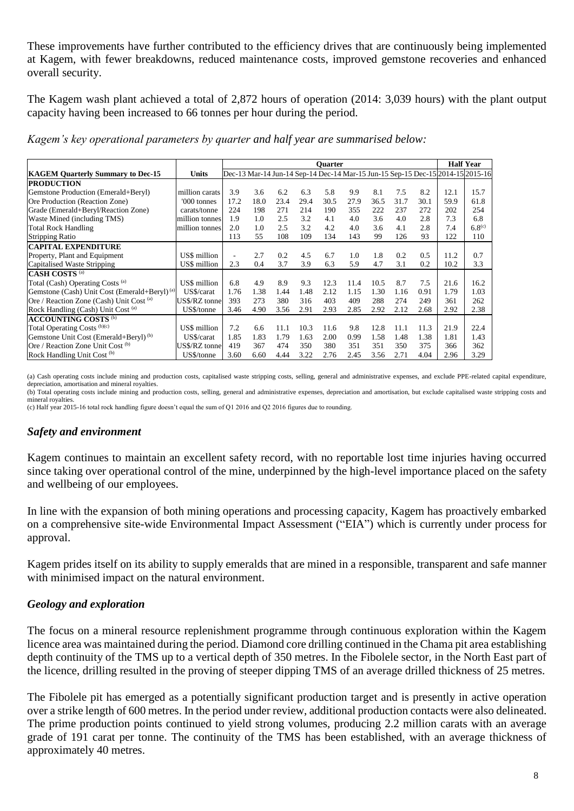These improvements have further contributed to the efficiency drives that are continuously being implemented at Kagem, with fewer breakdowns, reduced maintenance costs, improved gemstone recoveries and enhanced overall security.

The Kagem wash plant achieved a total of 2,872 hours of operation (2014: 3,039 hours) with the plant output capacity having been increased to 66 tonnes per hour during the period.

*Kagem's key operational parameters by quarter and half year are summarised below:*

|                                                          |                |      |      |      |      | <b>Ouarter</b> |      |      |      |      |                                                                                | <b>Half Year</b> |
|----------------------------------------------------------|----------------|------|------|------|------|----------------|------|------|------|------|--------------------------------------------------------------------------------|------------------|
| <b>KAGEM Quarterly Summary to Dec-15</b>                 | <b>Units</b>   |      |      |      |      |                |      |      |      |      | Dec-13 Mar-14 Jun-14 Sep-14 Dec-14 Mar-15 Jun-15 Sep-15 Dec-15 2014-15 2015-16 |                  |
| <b>PRODUCTION</b>                                        |                |      |      |      |      |                |      |      |      |      |                                                                                |                  |
| Gemstone Production (Emerald+Beryl)                      | million carats | 3.9  | 3.6  | 6.2  | 6.3  | 5.8            | 9.9  | 8.1  | 7.5  | 8.2  | 12.1                                                                           | 15.7             |
| Ore Production (Reaction Zone)                           | '000 tonnes    | 17.2 | 18.0 | 23.4 | 29.4 | 30.5           | 27.9 | 36.5 | 31.7 | 30.1 | 59.9                                                                           | 61.8             |
| Grade (Emerald+Beryl/Reaction Zone)                      | carats/tonne   | 224  | 198  | 271  | 214  | 190            | 355  | 222  | 237  | 272  | 202                                                                            | 254              |
| Waste Mined (including TMS)                              | million tonnes | 1.9  | 1.0  | 2.5  | 3.2  | 4.1            | 4.0  | 3.6  | 4.0  | 2.8  | 7.3                                                                            | 6.8              |
| <b>Total Rock Handling</b>                               | million tonnes | 2.0  | 1.0  | 2.5  | 3.2  | 4.2            | 4.0  | 3.6  | 4.1  | 2.8  | 7.4                                                                            | $6.8^{(c)}$      |
| <b>Stripping Ratio</b>                                   |                | 113  | 55   | 108  | 109  | 134            | 143  | 99   | 126  | 93   | 122                                                                            | 110              |
| <b>CAPITAL EXPENDITURE</b>                               |                |      |      |      |      |                |      |      |      |      |                                                                                |                  |
| Property, Plant and Equipment                            | US\$ million   | ٠    | 2.7  | 0.2  | 4.5  | 6.7            | 1.0  | 1.8  | 0.2  | 0.5  | 11.2                                                                           | 0.7              |
| Capitalised Waste Stripping                              | US\$ million   | 2.3  | 0.4  | 3.7  | 3.9  | 6.3            | 5.9  | 4.7  | 3.1  | 0.2  | 10.2                                                                           | 3.3              |
| <b>CASH COSTS</b> <sup>(a)</sup>                         |                |      |      |      |      |                |      |      |      |      |                                                                                |                  |
| Total (Cash) Operating Costs (a)                         | US\$ million   | 6.8  | 4.9  | 8.9  | 9.3  | 12.3           | 11.4 | 10.5 | 8.7  | 7.5  | 21.6                                                                           | 16.2             |
| Gemstone (Cash) Unit Cost (Emerald+Beryl) <sup>(a)</sup> | US\$/carat     | 1.76 | 1.38 | 1.44 | 1.48 | 2.12           | 1.15 | 1.30 | 1.16 | 0.91 | 1.79                                                                           | 1.03             |
| Ore / Reaction Zone (Cash) Unit Cost (a)                 | US\$/RZ tonne  | 393  | 273  | 380  | 316  | 403            | 409  | 288  | 274  | 249  | 361                                                                            | 262              |
| Rock Handling (Cash) Unit Cost (a)                       | US\$/tonne     | 3.46 | 4.90 | 3.56 | 2.91 | 2.93           | 2.85 | 2.92 | 2.12 | 2.68 | 2.92                                                                           | 2.38             |
| <b>ACCOUNTING COSTS (b)</b>                              |                |      |      |      |      |                |      |      |      |      |                                                                                |                  |
| Total Operating Costs (b)(c)                             | US\$ million   | 7.2  | 6.6  | 11.1 | 10.3 | 11.6           | 9.8  | 12.8 | 11.1 | 11.3 | 21.9                                                                           | 22.4             |
| Gemstone Unit Cost (Emerald+Beryl) <sup>(b)</sup>        | US\$/carat     | 1.85 | 1.83 | 1.79 | 1.63 | 2.00           | 0.99 | 1.58 | 1.48 | 1.38 | 1.81                                                                           | 1.43             |
| Ore / Reaction Zone Unit Cost (b)                        | US\$/RZ tonne  | 419  | 367  | 474  | 350  | 380            | 351  | 351  | 350  | 375  | 366                                                                            | 362              |
| Rock Handling Unit Cost <sup>(b)</sup>                   | US\$/tonne     | 3.60 | 6.60 | 4.44 | 3.22 | 2.76           | 2.45 | 3.56 | 2.71 | 4.04 | 2.96                                                                           | 3.29             |

(a) Cash operating costs include mining and production costs, capitalised waste stripping costs, selling, general and administrative expenses, and exclude PPE-related capital expenditure, depreciation, amortisation and mineral royalties.

(b) Total operating costs include mining and production costs, selling, general and administrative expenses, depreciation and amortisation, but exclude capitalised waste stripping costs and mineral royalties.

(c) Half year 2015-16 total rock handling figure doesn't equal the sum of Q1 2016 and Q2 2016 figures due to rounding.

#### *Safety and environment*

Kagem continues to maintain an excellent safety record, with no reportable lost time injuries having occurred since taking over operational control of the mine, underpinned by the high-level importance placed on the safety and wellbeing of our employees.

In line with the expansion of both mining operations and processing capacity, Kagem has proactively embarked on a comprehensive site-wide Environmental Impact Assessment ("EIA") which is currently under process for approval.

Kagem prides itself on its ability to supply emeralds that are mined in a responsible, transparent and safe manner with minimised impact on the natural environment.

#### *Geology and exploration*

The focus on a mineral resource replenishment programme through continuous exploration within the Kagem licence area was maintained during the period. Diamond core drilling continued in the Chama pit area establishing depth continuity of the TMS up to a vertical depth of 350 metres. In the Fibolele sector, in the North East part of the licence, drilling resulted in the proving of steeper dipping TMS of an average drilled thickness of 25 metres.

The Fibolele pit has emerged as a potentially significant production target and is presently in active operation over a strike length of 600 metres. In the period under review, additional production contacts were also delineated. The prime production points continued to yield strong volumes, producing 2.2 million carats with an average grade of 191 carat per tonne. The continuity of the TMS has been established, with an average thickness of approximately 40 metres.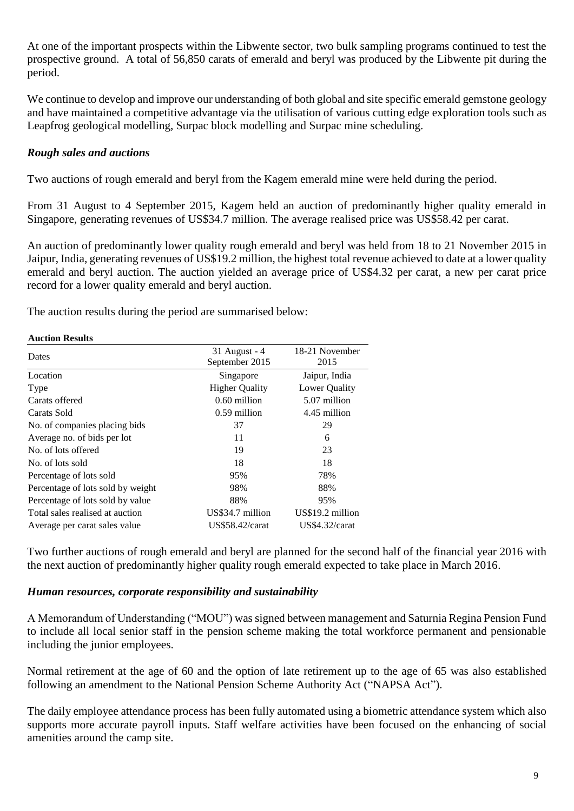At one of the important prospects within the Libwente sector, two bulk sampling programs continued to test the prospective ground. A total of 56,850 carats of emerald and beryl was produced by the Libwente pit during the period.

We continue to develop and improve our understanding of both global and site specific emerald gemstone geology and have maintained a competitive advantage via the utilisation of various cutting edge exploration tools such as Leapfrog geological modelling, Surpac block modelling and Surpac mine scheduling.

#### *Rough sales and auctions*

Two auctions of rough emerald and beryl from the Kagem emerald mine were held during the period.

From 31 August to 4 September 2015, Kagem held an auction of predominantly higher quality emerald in Singapore, generating revenues of US\$34.7 million. The average realised price was US\$58.42 per carat.

An auction of predominantly lower quality rough emerald and beryl was held from 18 to 21 November 2015 in Jaipur, India, generating revenues of US\$19.2 million, the highest total revenue achieved to date at a lower quality emerald and beryl auction. The auction yielded an average price of US\$4.32 per carat, a new per carat price record for a lower quality emerald and beryl auction.

The auction results during the period are summarised below:

#### **Auction Results**

|                                   | 31 August - 4          | 18-21 November   |  |  |
|-----------------------------------|------------------------|------------------|--|--|
| Dates                             | 2015<br>September 2015 |                  |  |  |
| Location                          | Singapore              | Jaipur, India    |  |  |
| Type                              | <b>Higher Quality</b>  | Lower Quality    |  |  |
| Carats offered                    | 0.60 million           | 5.07 million     |  |  |
| Carats Sold                       | $0.59$ million         | 4.45 million     |  |  |
| No. of companies placing bids     | 37                     | 29               |  |  |
| Average no. of bids per lot       | 11                     | 6                |  |  |
| No. of lots offered               | 19                     | 23               |  |  |
| No. of lots sold                  | 18                     | 18               |  |  |
| Percentage of lots sold           | 95%                    | 78%              |  |  |
| Percentage of lots sold by weight | 98%                    | 88%              |  |  |
| Percentage of lots sold by value  | 88%                    | 95%              |  |  |
| Total sales realised at auction   | US\$34.7 million       | US\$19.2 million |  |  |
| Average per carat sales value     | <b>US\$58.42/carat</b> | US\$4.32/carat   |  |  |

Two further auctions of rough emerald and beryl are planned for the second half of the financial year 2016 with the next auction of predominantly higher quality rough emerald expected to take place in March 2016.

#### *Human resources, corporate responsibility and sustainability*

A Memorandum of Understanding ("MOU") was signed between management and Saturnia Regina Pension Fund to include all local senior staff in the pension scheme making the total workforce permanent and pensionable including the junior employees.

Normal retirement at the age of 60 and the option of late retirement up to the age of 65 was also established following an amendment to the National Pension Scheme Authority Act ("NAPSA Act").

The daily employee attendance process has been fully automated using a biometric attendance system which also supports more accurate payroll inputs. Staff welfare activities have been focused on the enhancing of social amenities around the camp site.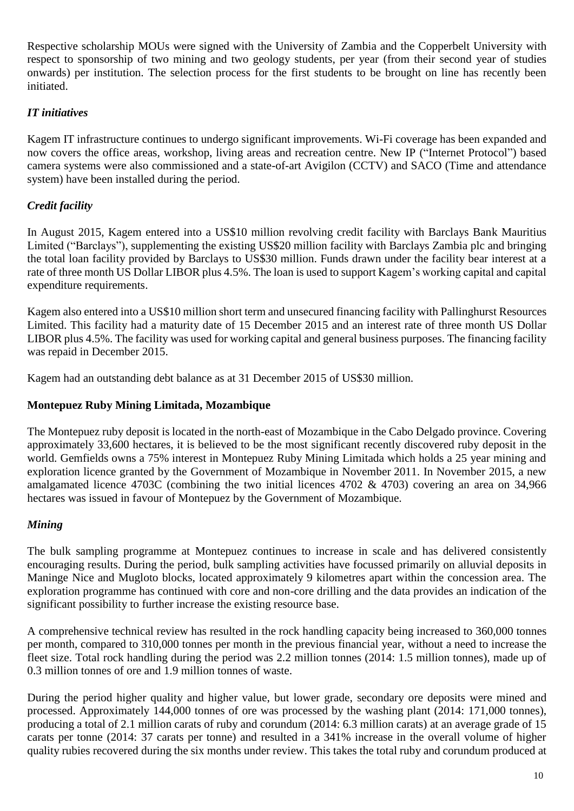Respective scholarship MOUs were signed with the University of Zambia and the Copperbelt University with respect to sponsorship of two mining and two geology students, per year (from their second year of studies onwards) per institution. The selection process for the first students to be brought on line has recently been initiated.

## *IT initiatives*

Kagem IT infrastructure continues to undergo significant improvements. Wi-Fi coverage has been expanded and now covers the office areas, workshop, living areas and recreation centre. New IP ("Internet Protocol") based camera systems were also commissioned and a state-of-art Avigilon (CCTV) and SACO (Time and attendance system) have been installed during the period.

## *Credit facility*

In August 2015, Kagem entered into a US\$10 million revolving credit facility with Barclays Bank Mauritius Limited ("Barclays"), supplementing the existing US\$20 million facility with Barclays Zambia plc and bringing the total loan facility provided by Barclays to US\$30 million. Funds drawn under the facility bear interest at a rate of three month US Dollar LIBOR plus 4.5%. The loan is used to support Kagem's working capital and capital expenditure requirements.

Kagem also entered into a US\$10 million short term and unsecured financing facility with Pallinghurst Resources Limited. This facility had a maturity date of 15 December 2015 and an interest rate of three month US Dollar LIBOR plus 4.5%. The facility was used for working capital and general business purposes. The financing facility was repaid in December 2015.

Kagem had an outstanding debt balance as at 31 December 2015 of US\$30 million.

### **Montepuez Ruby Mining Limitada, Mozambique**

The Montepuez ruby deposit is located in the north-east of Mozambique in the Cabo Delgado province. Covering approximately 33,600 hectares, it is believed to be the most significant recently discovered ruby deposit in the world. Gemfields owns a 75% interest in Montepuez Ruby Mining Limitada which holds a 25 year mining and exploration licence granted by the Government of Mozambique in November 2011. In November 2015, a new amalgamated licence 4703C (combining the two initial licences 4702 & 4703) covering an area on 34,966 hectares was issued in favour of Montepuez by the Government of Mozambique.

## *Mining*

The bulk sampling programme at Montepuez continues to increase in scale and has delivered consistently encouraging results. During the period, bulk sampling activities have focussed primarily on alluvial deposits in Maninge Nice and Mugloto blocks, located approximately 9 kilometres apart within the concession area. The exploration programme has continued with core and non-core drilling and the data provides an indication of the significant possibility to further increase the existing resource base.

A comprehensive technical review has resulted in the rock handling capacity being increased to 360,000 tonnes per month, compared to 310,000 tonnes per month in the previous financial year, without a need to increase the fleet size. Total rock handling during the period was 2.2 million tonnes (2014: 1.5 million tonnes), made up of 0.3 million tonnes of ore and 1.9 million tonnes of waste.

During the period higher quality and higher value, but lower grade, secondary ore deposits were mined and processed. Approximately 144,000 tonnes of ore was processed by the washing plant (2014: 171,000 tonnes), producing a total of 2.1 million carats of ruby and corundum (2014: 6.3 million carats) at an average grade of 15 carats per tonne (2014: 37 carats per tonne) and resulted in a 341% increase in the overall volume of higher quality rubies recovered during the six months under review. This takes the total ruby and corundum produced at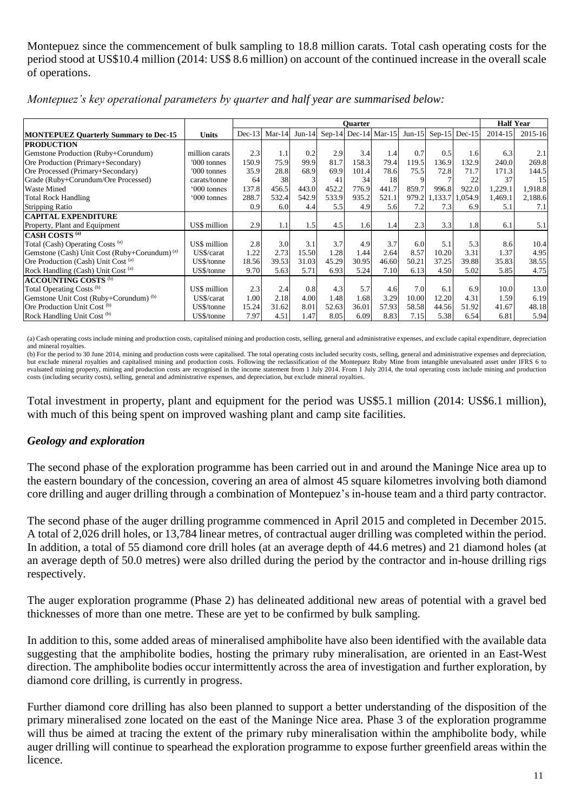Montepuez since the commencement of bulk sampling to 18.8 million carats. Total cash operating costs for the period stood at US\$10.4 million (2014: US\$ 8.6 million) on account of the continued increase in the overall scale of operations.

|                                                          |                |          |          |          |       | <b>Ouarter</b>       |       |          |         |                 | <b>Half Year</b> |         |
|----------------------------------------------------------|----------------|----------|----------|----------|-------|----------------------|-------|----------|---------|-----------------|------------------|---------|
| <b>MONTEPUEZ Quarterly Summary to Dec-15</b>             | <b>Units</b>   | $Dec-13$ | $Mar-14$ | $Jun-14$ |       | Sep-14 Dec-14 Mar-15 |       | $Jun-15$ |         | Sep-15 $Dec-15$ | 2014-15          | 2015-16 |
| <b>PRODUCTION</b>                                        |                |          |          |          |       |                      |       |          |         |                 |                  |         |
| Gemstone Production (Ruby+Corundum)                      | million carats | 2.3      | 1.1      | 0.2      | 2.9   | 3.4                  | 1.4   | 0.7      | 0.5     | 1.6             | 6.3              | 2.1     |
| Ore Production (Primary+Secondary)                       | '000 tonnes    | 150.9    | 75.9     | 99.9     | 81.7  | 158.3                | 79.4  | 119.5    | 136.9   | 132.9           | 240.0            | 269.8   |
| Ore Processed (Primary+Secondary)                        | '000 tonnes    | 35.9     | 28.8     | 68.9     | 69.9  | 101.4                | 78.6  | 75.5     | 72.8    | 71.7            | 171.3            | 144.5   |
| Grade (Ruby+Corundum/Ore Processed)                      | carats/tonne   | 64       | 38       |          | 41    | 34                   | 18    |          |         | 22              | 37               | 15      |
| <b>Waste Mined</b>                                       | '000 tonnes    | 137.8    | 456.5    | 443.0    | 452.2 | 776.9                | 441.7 | 859.7    | 996.8   | 922.0           | 1,229.1          | 1,918.8 |
| <b>Total Rock Handling</b>                               | '000 tonnes    | 288.7    | 532.4    | 542.9    | 533.9 | 935.2                | 521.1 | 979.2    | 1,133.7 | 1,054.9         | 1,469.1          | 2,188.6 |
| <b>Stripping Ratio</b>                                   |                | 0.9      | 6.0      | 4.4      | 5.5   | 4.9                  | 5.6   | 7.2      | 7.3     | 6.9             | 5.1              | 7.1     |
| <b>CAPITAL EXPENDITURE</b>                               |                |          |          |          |       |                      |       |          |         |                 |                  |         |
| Property, Plant and Equipment                            | US\$ million   | 2.9      | 1.1      | 1.5      | 4.5   | 1.6                  | 1.4   | 2.3      | 3.3     | 1.8             | 6.1              | 5.1     |
| <b>CASH COSTS<sup>(a)</sup></b>                          |                |          |          |          |       |                      |       |          |         |                 |                  |         |
| Total (Cash) Operating Costs (a)                         | US\$ million   | 2.8      | 3.0      | 3.1      | 3.7   | 4.9                  | 3.7   | 6.0      | 5.1     | 5.3             | 8.6              | 10.4    |
| Gemstone (Cash) Unit Cost (Ruby+Corundum) <sup>(a)</sup> | US\$/carat     | 1.22     | 2.73     | 15.50    | 1.28  | 1.44                 | 2.64  | 8.57     | 10.20   | 3.31            | 1.37             | 4.95    |
| Ore Production (Cash) Unit Cost (a)                      | US\$/tonne     | 18.56    | 39.53    | 31.03    | 45.29 | 30.95                | 46.60 | 50.21    | 37.25   | 39.88           | 35.83            | 38.55   |
| Rock Handling (Cash) Unit Cost <sup>(a)</sup>            | US\$/tonne     | 9.70     | 5.63     | 5.71     | 6.93  | 5.24                 | 7.10  | 6.13     | 4.50    | 5.02            | 5.85             | 4.75    |
| <b>ACCOUNTING COSTS (b)</b>                              |                |          |          |          |       |                      |       |          |         |                 |                  |         |
| Total Operating Costs <sup>(b)</sup>                     | US\$ million   | 2.3      | 2.4      | 0.8      | 4.3   | 5.7                  | 4.6   | 7.0      | 6.1     | 6.9             | 10.0             | 13.0    |
| Gemstone Unit Cost (Ruby+Corundum) <sup>(b)</sup>        | US\$/carat     | 1.00     | 2.18     | 4.00     | 1.48  | 1.68                 | 3.29  | 10.00    | 12.20   | 4.31            | 1.59             | 6.19    |
| Ore Production Unit Cost <sup>(b)</sup>                  | US\$/tonne     | 15.24    | 31.62    | 8.01     | 52.63 | 36.01                | 57.93 | 58.58    | 44.56   | 51.92           | 41.67            | 48.18   |
| Rock Handling Unit Cost <sup>(b)</sup>                   | US\$/tonne     | 7.97     | 4.51     | 1.47     | 8.05  | 6.09                 | 8.83  | 7.15     | 5.38    | 6.54            | 6.81             | 5.94    |

*Montepuez's key operational parameters by quarter and half year are summarised below:*

(a) Cash operating costs include mining and production costs, capitalised mining and production costs, selling, general and administrative expenses, and exclude capital expenditure, depreciation and mineral royalties.

(b) For the period to 30 June 2014, mining and production costs were capitalised. The total operating costs included security costs, selling, general and administrative expenses and depreciation, but exclude mineral royalties and capitalised mining and production costs. Following the reclassification of the Montepuez Ruby Mine from intangible unevaluated asset under IFRS 6 to evaluated mining property, mining and production costs are recognised in the income statement from 1 July 2014. From 1 July 2014, the total operating costs include mining and production costs (including security costs), selling, general and administrative expenses, and depreciation, but exclude mineral royalties.

Total investment in property, plant and equipment for the period was US\$5.1 million (2014: US\$6.1 million), with much of this being spent on improved washing plant and camp site facilities.

#### *Geology and exploration*

The second phase of the exploration programme has been carried out in and around the Maninge Nice area up to the eastern boundary of the concession, covering an area of almost 45 square kilometres involving both diamond core drilling and auger drilling through a combination of Montepuez's in-house team and a third party contractor.

The second phase of the auger drilling programme commenced in April 2015 and completed in December 2015. A total of 2,026 drill holes, or 13,784 linear metres, of contractual auger drilling was completed within the period. In addition, a total of 55 diamond core drill holes (at an average depth of 44.6 metres) and 21 diamond holes (at an average depth of 50.0 metres) were also drilled during the period by the contractor and in-house drilling rigs respectively.

The auger exploration programme (Phase 2) has delineated additional new areas of potential with a gravel bed thicknesses of more than one metre. These are yet to be confirmed by bulk sampling.

In addition to this, some added areas of mineralised amphibolite have also been identified with the available data suggesting that the amphibolite bodies, hosting the primary ruby mineralisation, are oriented in an East-West direction. The amphibolite bodies occur intermittently across the area of investigation and further exploration, by diamond core drilling, is currently in progress.

Further diamond core drilling has also been planned to support a better understanding of the disposition of the primary mineralised zone located on the east of the Maninge Nice area. Phase 3 of the exploration programme will thus be aimed at tracing the extent of the primary ruby mineralisation within the amphibolite body, while auger drilling will continue to spearhead the exploration programme to expose further greenfield areas within the licence.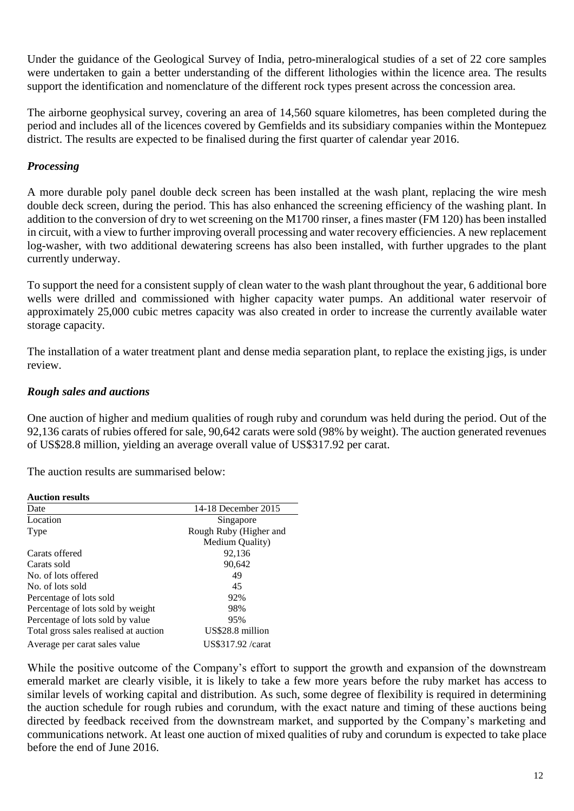Under the guidance of the Geological Survey of India, petro-mineralogical studies of a set of 22 core samples were undertaken to gain a better understanding of the different lithologies within the licence area. The results support the identification and nomenclature of the different rock types present across the concession area.

The airborne geophysical survey, covering an area of 14,560 square kilometres, has been completed during the period and includes all of the licences covered by Gemfields and its subsidiary companies within the Montepuez district. The results are expected to be finalised during the first quarter of calendar year 2016.

#### *Processing*

A more durable poly panel double deck screen has been installed at the wash plant, replacing the wire mesh double deck screen, during the period. This has also enhanced the screening efficiency of the washing plant. In addition to the conversion of dry to wet screening on the M1700 rinser, a fines master (FM 120) has been installed in circuit, with a view to further improving overall processing and water recovery efficiencies. A new replacement log-washer, with two additional dewatering screens has also been installed, with further upgrades to the plant currently underway.

To support the need for a consistent supply of clean water to the wash plant throughout the year, 6 additional bore wells were drilled and commissioned with higher capacity water pumps. An additional water reservoir of approximately 25,000 cubic metres capacity was also created in order to increase the currently available water storage capacity.

The installation of a water treatment plant and dense media separation plant, to replace the existing jigs, is under review.

#### *Rough sales and auctions*

One auction of higher and medium qualities of rough ruby and corundum was held during the period. Out of the 92,136 carats of rubies offered for sale, 90,642 carats were sold (98% by weight). The auction generated revenues of US\$28.8 million, yielding an average overall value of US\$317.92 per carat.

The auction results are summarised below:

| Date                                  | 14-18 December 2015    |
|---------------------------------------|------------------------|
| Location                              | Singapore              |
| Type                                  | Rough Ruby (Higher and |
|                                       | Medium Quality)        |
| Carats offered                        | 92,136                 |
| Carats sold                           | 90,642                 |
| No. of lots offered                   | 49                     |
| No. of lots sold                      | 45                     |
| Percentage of lots sold               | 92%                    |
| Percentage of lots sold by weight     | 98%                    |
| Percentage of lots sold by value      | 95%                    |
| Total gross sales realised at auction | US\$28.8 million       |
| Average per carat sales value         | US\$317.92 /carat      |

While the positive outcome of the Company's effort to support the growth and expansion of the downstream emerald market are clearly visible, it is likely to take a few more years before the ruby market has access to similar levels of working capital and distribution. As such, some degree of flexibility is required in determining the auction schedule for rough rubies and corundum, with the exact nature and timing of these auctions being directed by feedback received from the downstream market, and supported by the Company's marketing and communications network. At least one auction of mixed qualities of ruby and corundum is expected to take place before the end of June 2016.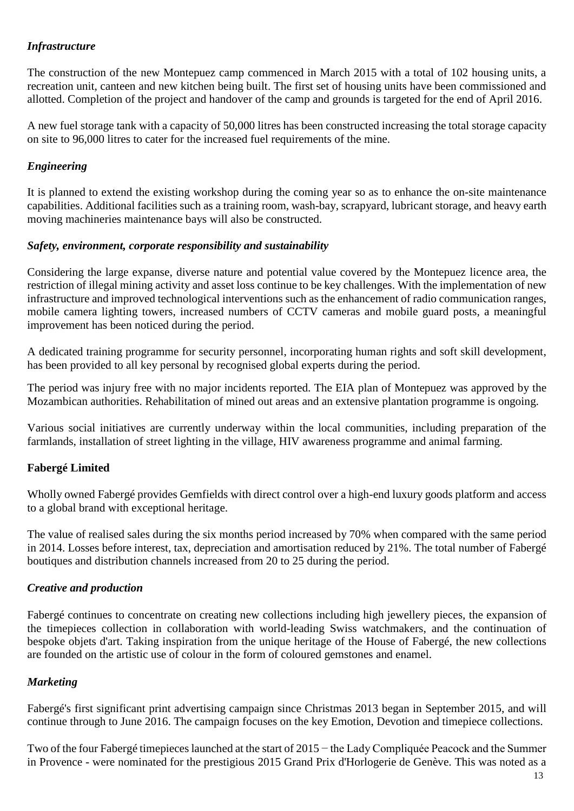### *Infrastructure*

The construction of the new Montepuez camp commenced in March 2015 with a total of 102 housing units, a recreation unit, canteen and new kitchen being built. The first set of housing units have been commissioned and allotted. Completion of the project and handover of the camp and grounds is targeted for the end of April 2016.

A new fuel storage tank with a capacity of 50,000 litres has been constructed increasing the total storage capacity on site to 96,000 litres to cater for the increased fuel requirements of the mine.

#### *Engineering*

It is planned to extend the existing workshop during the coming year so as to enhance the on-site maintenance capabilities. Additional facilities such as a training room, wash-bay, scrapyard, lubricant storage, and heavy earth moving machineries maintenance bays will also be constructed.

#### *Safety, environment, corporate responsibility and sustainability*

Considering the large expanse, diverse nature and potential value covered by the Montepuez licence area, the restriction of illegal mining activity and asset loss continue to be key challenges. With the implementation of new infrastructure and improved technological interventions such as the enhancement of radio communication ranges, mobile camera lighting towers, increased numbers of CCTV cameras and mobile guard posts, a meaningful improvement has been noticed during the period.

A dedicated training programme for security personnel, incorporating human rights and soft skill development, has been provided to all key personal by recognised global experts during the period.

The period was injury free with no major incidents reported. The EIA plan of Montepuez was approved by the Mozambican authorities. Rehabilitation of mined out areas and an extensive plantation programme is ongoing.

Various social initiatives are currently underway within the local communities, including preparation of the farmlands, installation of street lighting in the village, HIV awareness programme and animal farming.

## **Fabergé Limited**

Wholly owned Fabergé provides Gemfields with direct control over a high-end luxury goods platform and access to a global brand with exceptional heritage.

The value of realised sales during the six months period increased by 70% when compared with the same period in 2014. Losses before interest, tax, depreciation and amortisation reduced by 21%. The total number of Fabergé boutiques and distribution channels increased from 20 to 25 during the period.

#### *Creative and production*

Fabergé continues to concentrate on creating new collections including high jewellery pieces, the expansion of the timepieces collection in collaboration with world-leading Swiss watchmakers, and the continuation of bespoke objets d'art. Taking inspiration from the unique heritage of the House of Fabergé, the new collections are founded on the artistic use of colour in the form of coloured gemstones and enamel.

#### *Marketing*

Fabergé's first significant print advertising campaign since Christmas 2013 began in September 2015, and will continue through to June 2016. The campaign focuses on the key Emotion, Devotion and timepiece collections.

Two of the four Fabergé timepieces launched at the start of 2015 – the Lady Compliquée Peacock and the Summer in Provence - were nominated for the prestigious 2015 Grand Prix d'Horlogerie de Genève. This was noted as a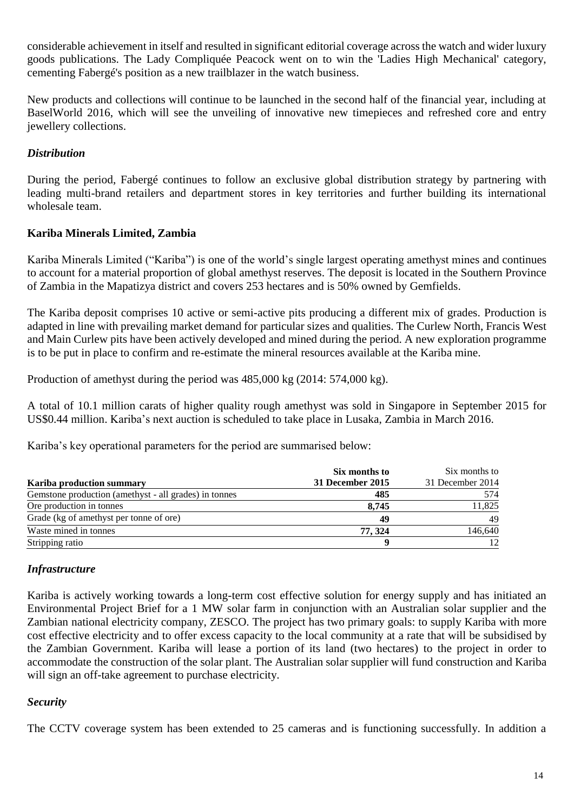considerable achievement in itself and resulted in significant editorial coverage across the watch and wider luxury goods publications. The Lady Compliquée Peacock went on to win the 'Ladies High Mechanical' category, cementing Fabergé's position as a new trailblazer in the watch business.

New products and collections will continue to be launched in the second half of the financial year, including at BaselWorld 2016, which will see the unveiling of innovative new timepieces and refreshed core and entry jewellery collections.

#### *Distribution*

During the period, Fabergé continues to follow an exclusive global distribution strategy by partnering with leading multi-brand retailers and department stores in key territories and further building its international wholesale team.

#### **Kariba Minerals Limited, Zambia**

Kariba Minerals Limited ("Kariba") is one of the world's single largest operating amethyst mines and continues to account for a material proportion of global amethyst reserves. The deposit is located in the Southern Province of Zambia in the Mapatizya district and covers 253 hectares and is 50% owned by Gemfields.

The Kariba deposit comprises 10 active or semi-active pits producing a different mix of grades. Production is adapted in line with prevailing market demand for particular sizes and qualities. The Curlew North, Francis West and Main Curlew pits have been actively developed and mined during the period. A new exploration programme is to be put in place to confirm and re-estimate the mineral resources available at the Kariba mine.

Production of amethyst during the period was 485,000 kg (2014: 574,000 kg).

A total of 10.1 million carats of higher quality rough amethyst was sold in Singapore in September 2015 for US\$0.44 million. Kariba's next auction is scheduled to take place in Lusaka, Zambia in March 2016.

Kariba's key operational parameters for the period are summarised below:

|                                                       | Six months to    | Six months to    |
|-------------------------------------------------------|------------------|------------------|
| <b>Kariba production summary</b>                      | 31 December 2015 | 31 December 2014 |
| Gemstone production (amethyst - all grades) in tonnes | 485              | 574              |
| Ore production in tonnes                              | 8.745            | 11,825           |
| Grade (kg of amethyst per tonne of ore)               | 49               | 49               |
| Waste mined in tonnes                                 | 77.324           | 146.640          |
| Stripping ratio                                       |                  | 12               |

#### *Infrastructure*

Kariba is actively working towards a long-term cost effective solution for energy supply and has initiated an Environmental Project Brief for a 1 MW solar farm in conjunction with an Australian solar supplier and the Zambian national electricity company, ZESCO. The project has two primary goals: to supply Kariba with more cost effective electricity and to offer excess capacity to the local community at a rate that will be subsidised by the Zambian Government. Kariba will lease a portion of its land (two hectares) to the project in order to accommodate the construction of the solar plant. The Australian solar supplier will fund construction and Kariba will sign an off-take agreement to purchase electricity.

#### *Security*

The CCTV coverage system has been extended to 25 cameras and is functioning successfully. In addition a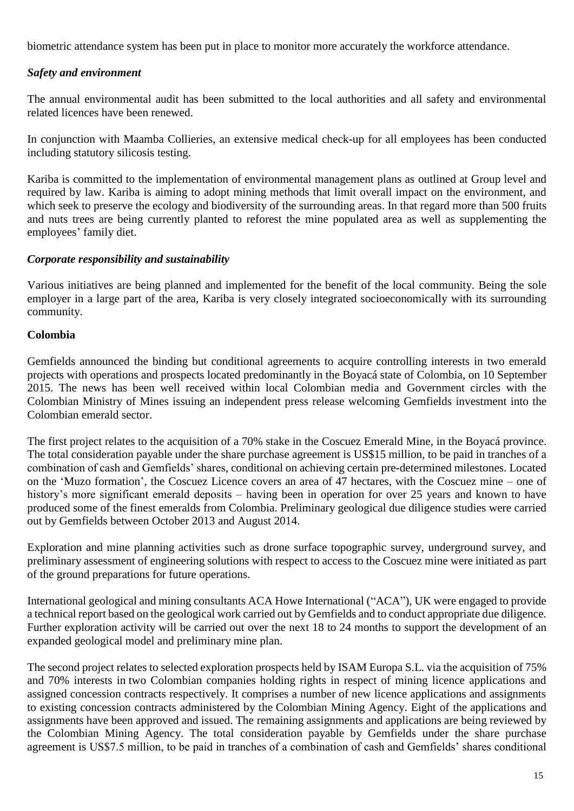biometric attendance system has been put in place to monitor more accurately the workforce attendance.

#### *Safety and environment*

The annual environmental audit has been submitted to the local authorities and all safety and environmental related licences have been renewed.

In conjunction with Maamba Collieries, an extensive medical check-up for all employees has been conducted including statutory silicosis testing.

Kariba is committed to the implementation of environmental management plans as outlined at Group level and required by law. Kariba is aiming to adopt mining methods that limit overall impact on the environment, and which seek to preserve the ecology and biodiversity of the surrounding areas. In that regard more than 500 fruits and nuts trees are being currently planted to reforest the mine populated area as well as supplementing the employees' family diet.

#### *Corporate responsibility and sustainability*

Various initiatives are being planned and implemented for the benefit of the local community. Being the sole employer in a large part of the area, Kariba is very closely integrated socioeconomically with its surrounding community.

#### **Colombia**

Gemfields announced the binding but conditional agreements to acquire controlling interests in two emerald projects with operations and prospects located predominantly in the Boyacá state of Colombia, on 10 September 2015. The news has been well received within local Colombian media and Government circles with the Colombian Ministry of Mines issuing an independent press release welcoming Gemfields investment into the Colombian emerald sector.

The first project relates to the acquisition of a 70% stake in the Coscuez Emerald Mine, in the Boyacá province. The total consideration payable under the share purchase agreement is US\$15 million, to be paid in tranches of a combination of cash and Gemfields' shares, conditional on achieving certain pre-determined milestones. Located on the 'Muzo formation', the Coscuez Licence covers an area of 47 hectares, with the Coscuez mine – one of history's more significant emerald deposits – having been in operation for over 25 years and known to have produced some of the finest emeralds from Colombia. Preliminary geological due diligence studies were carried out by Gemfields between October 2013 and August 2014.

Exploration and mine planning activities such as drone surface topographic survey, underground survey, and preliminary assessment of engineering solutions with respect to access to the Coscuez mine were initiated as part of the ground preparations for future operations.

International geological and mining consultants ACA Howe International ("ACA"), UK were engaged to provide a technical report based on the geological work carried out by Gemfields and to conduct appropriate due diligence. Further exploration activity will be carried out over the next 18 to 24 months to support the development of an expanded geological model and preliminary mine plan.

The second project relates to selected exploration prospects held by ISAM Europa S.L. via the acquisition of 75% and 70% interests in two Colombian companies holding rights in respect of mining licence applications and assigned concession contracts respectively. It comprises a number of new licence applications and assignments to existing concession contracts administered by the Colombian Mining Agency. Eight of the applications and assignments have been approved and issued. The remaining assignments and applications are being reviewed by the Colombian Mining Agency. The total consideration payable by Gemfields under the share purchase agreement is US\$7.5 million, to be paid in tranches of a combination of cash and Gemfields' shares conditional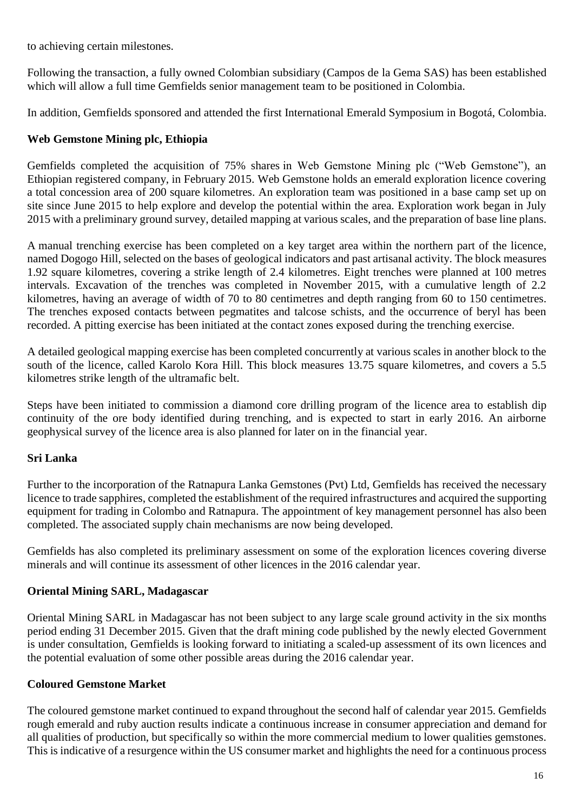to achieving certain milestones.

Following the transaction, a fully owned Colombian subsidiary (Campos de la Gema SAS) has been established which will allow a full time Gemfields senior management team to be positioned in Colombia.

In addition, Gemfields sponsored and attended the first International Emerald Symposium in Bogotá, Colombia.

## **Web Gemstone Mining plc, Ethiopia**

Gemfields completed the acquisition of 75% shares in Web Gemstone Mining plc ("Web Gemstone"), an Ethiopian registered company, in February 2015. Web Gemstone holds an emerald exploration licence covering a total concession area of 200 square kilometres. An exploration team was positioned in a base camp set up on site since June 2015 to help explore and develop the potential within the area. Exploration work began in July 2015 with a preliminary ground survey, detailed mapping at various scales, and the preparation of base line plans.

A manual trenching exercise has been completed on a key target area within the northern part of the licence, named Dogogo Hill, selected on the bases of geological indicators and past artisanal activity. The block measures 1.92 square kilometres, covering a strike length of 2.4 kilometres. Eight trenches were planned at 100 metres intervals. Excavation of the trenches was completed in November 2015, with a cumulative length of 2.2 kilometres, having an average of width of 70 to 80 centimetres and depth ranging from 60 to 150 centimetres. The trenches exposed contacts between pegmatites and talcose schists, and the occurrence of beryl has been recorded. A pitting exercise has been initiated at the contact zones exposed during the trenching exercise.

A detailed geological mapping exercise has been completed concurrently at various scales in another block to the south of the licence, called Karolo Kora Hill. This block measures 13.75 square kilometres, and covers a 5.5 kilometres strike length of the ultramafic belt.

Steps have been initiated to commission a diamond core drilling program of the licence area to establish dip continuity of the ore body identified during trenching, and is expected to start in early 2016. An airborne geophysical survey of the licence area is also planned for later on in the financial year.

## **Sri Lanka**

Further to the incorporation of the Ratnapura Lanka Gemstones (Pvt) Ltd, Gemfields has received the necessary licence to trade sapphires, completed the establishment of the required infrastructures and acquired the supporting equipment for trading in Colombo and Ratnapura. The appointment of key management personnel has also been completed. The associated supply chain mechanisms are now being developed.

Gemfields has also completed its preliminary assessment on some of the exploration licences covering diverse minerals and will continue its assessment of other licences in the 2016 calendar year.

## **Oriental Mining SARL, Madagascar**

Oriental Mining SARL in Madagascar has not been subject to any large scale ground activity in the six months period ending 31 December 2015. Given that the draft mining code published by the newly elected Government is under consultation, Gemfields is looking forward to initiating a scaled-up assessment of its own licences and the potential evaluation of some other possible areas during the 2016 calendar year.

## **Coloured Gemstone Market**

The coloured gemstone market continued to expand throughout the second half of calendar year 2015. Gemfields rough emerald and ruby auction results indicate a continuous increase in consumer appreciation and demand for all qualities of production, but specifically so within the more commercial medium to lower qualities gemstones. This is indicative of a resurgence within the US consumer market and highlights the need for a continuous process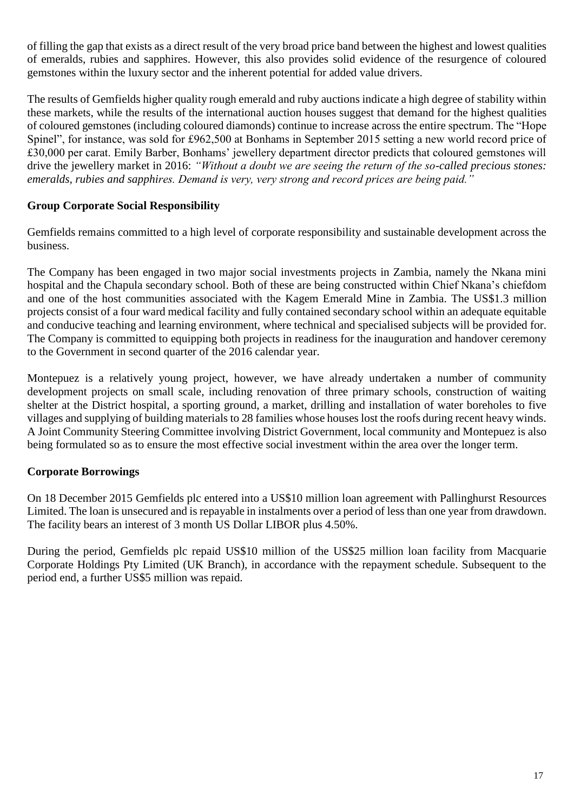of filling the gap that exists as a direct result of the very broad price band between the highest and lowest qualities of emeralds, rubies and sapphires. However, this also provides solid evidence of the resurgence of coloured gemstones within the luxury sector and the inherent potential for added value drivers.

The results of Gemfields higher quality rough emerald and ruby auctions indicate a high degree of stability within these markets, while the results of the international auction houses suggest that demand for the highest qualities of coloured gemstones (including coloured diamonds) continue to increase across the entire spectrum. The "Hope Spinel", for instance, was sold for £962,500 at Bonhams in September 2015 setting a new world record price of £30,000 per carat. Emily Barber, Bonhams' jewellery department director predicts that coloured gemstones will drive the jewellery market in 2016: *"Without a doubt we are seeing the return of the so-called precious stones: emeralds, rubies and sapphires. Demand is very, very strong and record prices are being paid."* 

#### **Group Corporate Social Responsibility**

Gemfields remains committed to a high level of corporate responsibility and sustainable development across the business.

The Company has been engaged in two major social investments projects in Zambia, namely the Nkana mini hospital and the Chapula secondary school. Both of these are being constructed within Chief Nkana's chiefdom and one of the host communities associated with the Kagem Emerald Mine in Zambia. The US\$1.3 million projects consist of a four ward medical facility and fully contained secondary school within an adequate equitable and conducive teaching and learning environment, where technical and specialised subjects will be provided for. The Company is committed to equipping both projects in readiness for the inauguration and handover ceremony to the Government in second quarter of the 2016 calendar year.

Montepuez is a relatively young project, however, we have already undertaken a number of community development projects on small scale, including renovation of three primary schools, construction of waiting shelter at the District hospital, a sporting ground, a market, drilling and installation of water boreholes to five villages and supplying of building materials to 28 families whose houses lost the roofs during recent heavy winds. A Joint Community Steering Committee involving District Government, local community and Montepuez is also being formulated so as to ensure the most effective social investment within the area over the longer term.

#### **Corporate Borrowings**

On 18 December 2015 Gemfields plc entered into a US\$10 million loan agreement with Pallinghurst Resources Limited. The loan is unsecured and is repayable in instalments over a period of less than one year from drawdown. The facility bears an interest of 3 month US Dollar LIBOR plus 4.50%.

During the period, Gemfields plc repaid US\$10 million of the US\$25 million loan facility from Macquarie Corporate Holdings Pty Limited (UK Branch), in accordance with the repayment schedule. Subsequent to the period end, a further US\$5 million was repaid.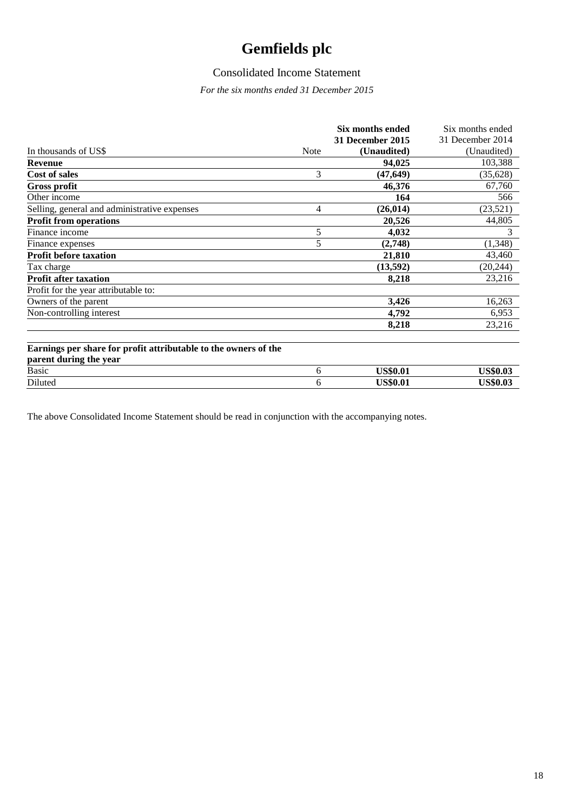## Consolidated Income Statement

*For the six months ended 31 December 2015*

|                                                                                           |             | Six months ended | Six months ended |
|-------------------------------------------------------------------------------------------|-------------|------------------|------------------|
|                                                                                           |             | 31 December 2015 | 31 December 2014 |
| In thousands of US\$                                                                      | <b>Note</b> | (Unaudited)      | (Unaudited)      |
| <b>Revenue</b>                                                                            |             | 94,025           | 103,388          |
| <b>Cost of sales</b>                                                                      | 3           | (47, 649)        | (35, 628)        |
| <b>Gross profit</b>                                                                       |             | 46,376           | 67,760           |
| Other income                                                                              |             | 164              | 566              |
| Selling, general and administrative expenses                                              | 4           | (26, 014)        | (23, 521)        |
| <b>Profit from operations</b>                                                             |             | 20,526           | 44,805           |
| Finance income                                                                            | 5           | 4,032            | 3                |
| Finance expenses                                                                          | 5           | (2,748)          | (1, 348)         |
| <b>Profit before taxation</b>                                                             |             | 21,810           | 43,460           |
| Tax charge                                                                                |             | (13,592)         | (20, 244)        |
| <b>Profit after taxation</b>                                                              |             | 8,218            | 23,216           |
| Profit for the year attributable to:                                                      |             |                  |                  |
| Owners of the parent                                                                      |             | 3,426            | 16,263           |
| Non-controlling interest                                                                  |             | 4,792            | 6,953            |
|                                                                                           |             | 8,218            | 23,216           |
| Earnings per share for profit attributable to the owners of the<br>parent during the year |             |                  |                  |
| <b>Basic</b>                                                                              | 6           | <b>US\$0.01</b>  | <b>US\$0.03</b>  |
| Diluted                                                                                   | 6           | <b>US\$0.01</b>  | <b>US\$0.03</b>  |

The above Consolidated Income Statement should be read in conjunction with the accompanying notes.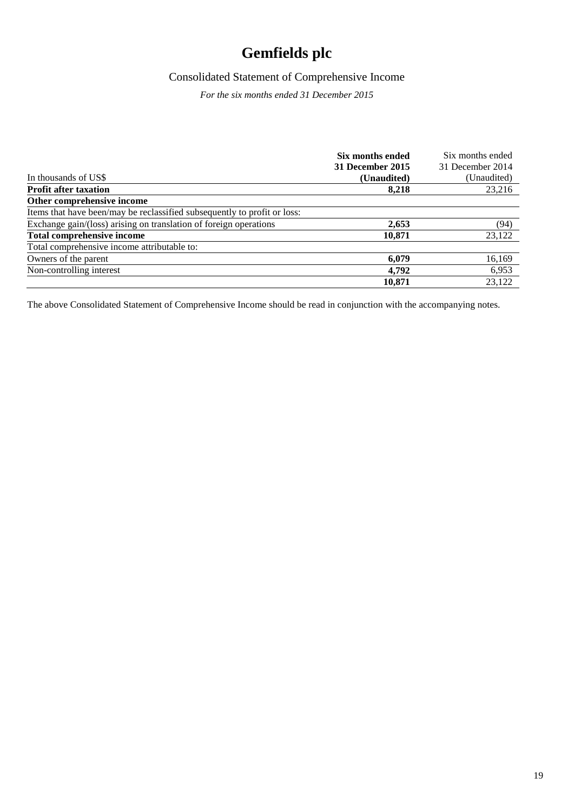## Consolidated Statement of Comprehensive Income

*For the six months ended 31 December 2015*

|                                                                          | Six months ended | Six months ended |
|--------------------------------------------------------------------------|------------------|------------------|
|                                                                          | 31 December 2015 | 31 December 2014 |
| In thousands of US\$                                                     | (Unaudited)      | (Unaudited)      |
| <b>Profit after taxation</b>                                             | 8,218            | 23,216           |
| Other comprehensive income                                               |                  |                  |
| Items that have been/may be reclassified subsequently to profit or loss: |                  |                  |
| Exchange gain/(loss) arising on translation of foreign operations        | 2.653            | (94)             |
| <b>Total comprehensive income</b>                                        | 10,871           | 23,122           |
| Total comprehensive income attributable to:                              |                  |                  |
| Owners of the parent                                                     | 6.079            | 16,169           |
| Non-controlling interest                                                 | 4.792            | 6,953            |
|                                                                          | 10,871           | 23.122           |

The above Consolidated Statement of Comprehensive Income should be read in conjunction with the accompanying notes.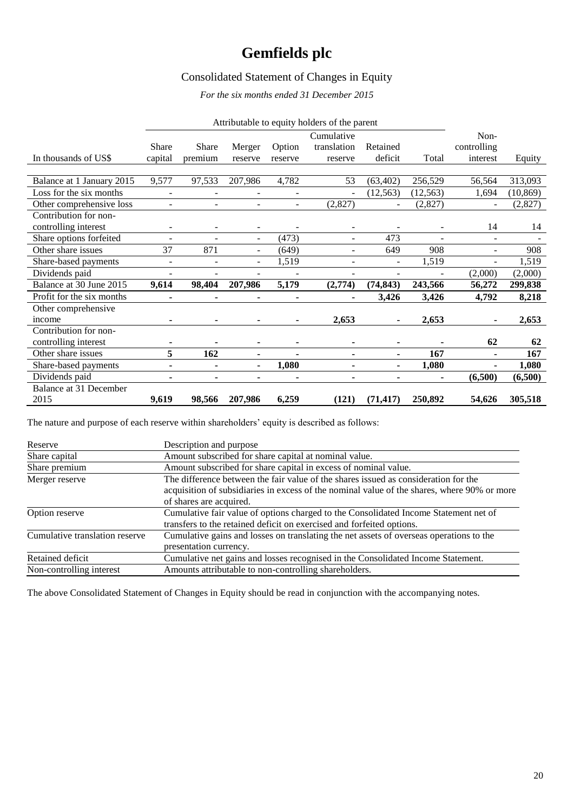### Consolidated Statement of Changes in Equity

*For the six months ended 31 December 2015*

|                           | Attributable to equity holders of the parent |                          |                          |                          |                                      |                     |           |                                 |           |
|---------------------------|----------------------------------------------|--------------------------|--------------------------|--------------------------|--------------------------------------|---------------------|-----------|---------------------------------|-----------|
| In thousands of US\$      | <b>Share</b><br>capital                      | <b>Share</b><br>premium  | Merger<br>reserve        | Option<br>reserve        | Cumulative<br>translation<br>reserve | Retained<br>deficit | Total     | Non-<br>controlling<br>interest | Equity    |
|                           |                                              |                          |                          |                          |                                      |                     |           |                                 |           |
| Balance at 1 January 2015 | 9,577                                        | 97,533                   | 207,986                  | 4,782                    | 53                                   | (63, 402)           | 256,529   | 56,564                          | 313,093   |
| Loss for the six months   | ٠                                            |                          |                          | $\overline{\phantom{a}}$ |                                      | (12, 563)           | (12, 563) | 1,694                           | (10, 869) |
| Other comprehensive loss  | $\blacksquare$                               | $\blacksquare$           | $\blacksquare$           | $\blacksquare$           | (2,827)                              |                     | (2,827)   |                                 | (2,827)   |
| Contribution for non-     |                                              |                          |                          |                          |                                      |                     |           |                                 |           |
| controlling interest      | $\overline{\phantom{a}}$                     |                          | $\overline{a}$           |                          |                                      |                     |           | 14                              | 14        |
| Share options forfeited   | $\overline{\phantom{a}}$                     |                          | $\overline{\phantom{a}}$ | (473)                    | ۰                                    | 473                 |           | $\overline{\phantom{a}}$        |           |
| Other share issues        | 37                                           | 871                      | $\sim$                   | (649)                    | ٠                                    | 649                 | 908       | ÷.                              | 908       |
| Share-based payments      | $\blacksquare$                               | $\overline{\phantom{a}}$ | $\blacksquare$           | 1,519                    | ٠                                    | $\blacksquare$      | 1,519     | $\blacksquare$                  | 1,519     |
| Dividends paid            | $\overline{\phantom{a}}$                     | $\overline{\phantom{a}}$ | $\overline{\phantom{a}}$ | $\blacksquare$           | ۰                                    | ۰                   |           | (2,000)                         | (2,000)   |
| Balance at 30 June 2015   | 9,614                                        | 98,404                   | 207,986                  | 5,179                    | (2,774)                              | (74, 843)           | 243,566   | 56,272                          | 299,838   |
| Profit for the six months |                                              | $\blacksquare$           | $\blacksquare$           | ۰                        |                                      | 3,426               | 3,426     | 4,792                           | 8,218     |
| Other comprehensive       |                                              |                          |                          |                          |                                      |                     |           |                                 |           |
| income                    |                                              | ٠                        | ۰                        | ۰                        | 2,653                                |                     | 2,653     |                                 | 2,653     |
| Contribution for non-     |                                              |                          |                          |                          |                                      |                     |           |                                 |           |
| controlling interest      |                                              |                          | ۰                        | ۰                        | ۰                                    | $\blacksquare$      |           | 62                              | 62        |
| Other share issues        | 5                                            | 162                      | $\blacksquare$           | $\blacksquare$           | ٠                                    | ٠                   | 167       | ä,                              | 167       |
| Share-based payments      | $\blacksquare$                               | ٠                        | $\blacksquare$           | 1,080                    | $\blacksquare$                       | ٠                   | 1,080     | $\blacksquare$                  | 1,080     |
| Dividends paid            | ۰                                            | ٠                        | $\blacksquare$           | ۰                        | $\blacksquare$                       | ٠                   | ٠         | (6,500)                         | (6,500)   |
| Balance at 31 December    |                                              |                          |                          |                          |                                      |                     |           |                                 |           |
| 2015                      | 9,619                                        | 98,566                   | 207,986                  | 6,259                    | (121)                                | (71, 417)           | 250,892   | 54,626                          | 305,518   |

The nature and purpose of each reserve within shareholders' equity is described as follows:

| Reserve                        | Description and purpose                                                                     |
|--------------------------------|---------------------------------------------------------------------------------------------|
| Share capital                  | Amount subscribed for share capital at nominal value.                                       |
| Share premium                  | Amount subscribed for share capital in excess of nominal value.                             |
| Merger reserve                 | The difference between the fair value of the shares issued as consideration for the         |
|                                | acquisition of subsidiaries in excess of the nominal value of the shares, where 90% or more |
|                                | of shares are acquired.                                                                     |
| Option reserve                 | Cumulative fair value of options charged to the Consolidated Income Statement net of        |
|                                | transfers to the retained deficit on exercised and forfeited options.                       |
| Cumulative translation reserve | Cumulative gains and losses on translating the net assets of overseas operations to the     |
|                                | presentation currency.                                                                      |
| Retained deficit               | Cumulative net gains and losses recognised in the Consolidated Income Statement.            |
| Non-controlling interest       | Amounts attributable to non-controlling shareholders.                                       |

The above Consolidated Statement of Changes in Equity should be read in conjunction with the accompanying notes.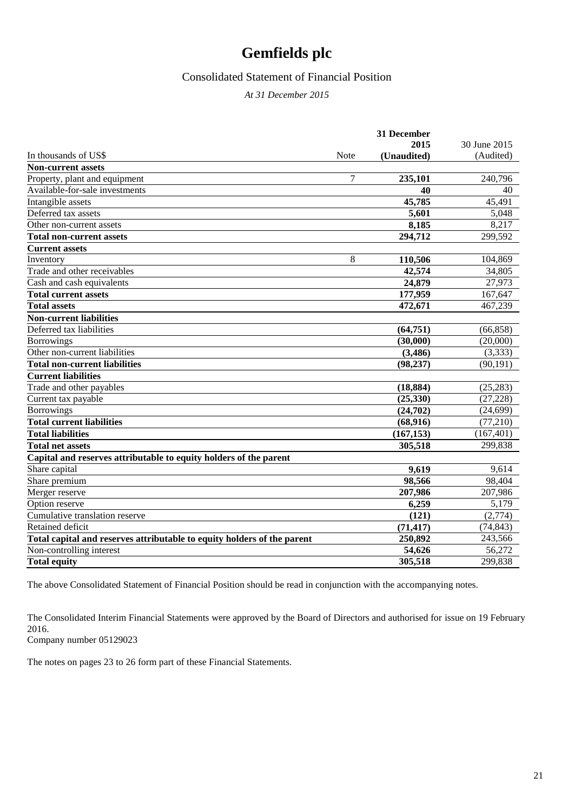#### Consolidated Statement of Financial Position

*At 31 December 2015*

|                                                                         |      | 31 December |              |
|-------------------------------------------------------------------------|------|-------------|--------------|
|                                                                         |      | 2015        | 30 June 2015 |
| In thousands of US\$                                                    | Note | (Unaudited) | (Audited)    |
| <b>Non-current assets</b>                                               |      |             |              |
| Property, plant and equipment                                           | 7    | 235,101     | 240,796      |
| Available-for-sale investments                                          |      | 40          | 40           |
| Intangible assets                                                       |      | 45,785      | 45,491       |
| Deferred tax assets                                                     |      | 5,601       | 5,048        |
| Other non-current assets                                                |      | 8,185       | 8,217        |
| <b>Total non-current assets</b>                                         |      | 294,712     | 299,592      |
| <b>Current assets</b>                                                   |      |             |              |
| Inventory                                                               | 8    | 110,506     | 104.869      |
| Trade and other receivables                                             |      | 42,574      | 34,805       |
| Cash and cash equivalents                                               |      | 24,879      | 27,973       |
| <b>Total current assets</b>                                             |      | 177,959     | 167,647      |
| <b>Total assets</b>                                                     |      | 472,671     | 467,239      |
| <b>Non-current liabilities</b>                                          |      |             |              |
| Deferred tax liabilities                                                |      | (64, 751)   | (66, 858)    |
| <b>Borrowings</b>                                                       |      | (30,000)    | (20,000)     |
| Other non-current liabilities                                           |      | (3,486)     | (3,333)      |
| <b>Total non-current liabilities</b>                                    |      | (98, 237)   | (90, 191)    |
| <b>Current liabilities</b>                                              |      |             |              |
| Trade and other payables                                                |      | (18, 884)   | (25, 283)    |
| Current tax payable                                                     |      | (25,330)    | (27, 228)    |
| <b>Borrowings</b>                                                       |      | (24,702)    | (24, 699)    |
| <b>Total current liabilities</b>                                        |      | (68, 916)   | (77, 210)    |
| <b>Total liabilities</b>                                                |      | (167, 153)  | (167, 401)   |
| <b>Total net assets</b>                                                 |      | 305,518     | 299,838      |
| Capital and reserves attributable to equity holders of the parent       |      |             |              |
| Share capital                                                           |      | 9,619       | 9,614        |
| Share premium                                                           |      | 98,566      | 98,404       |
| Merger reserve                                                          |      | 207,986     | 207,986      |
| Option reserve                                                          |      | 6.259       | 5,179        |
| Cumulative translation reserve                                          |      | (121)       | (2,774)      |
| Retained deficit                                                        |      | (71, 417)   | (74, 843)    |
| Total capital and reserves attributable to equity holders of the parent |      | 250,892     | 243,566      |
| Non-controlling interest                                                |      | 54,626      | 56,272       |
| <b>Total equity</b>                                                     |      | 305,518     | 299,838      |

The above Consolidated Statement of Financial Position should be read in conjunction with the accompanying notes.

The Consolidated Interim Financial Statements were approved by the Board of Directors and authorised for issue on 19 February 2016.

Company number 05129023

The notes on pages 23 to 26 form part of these Financial Statements.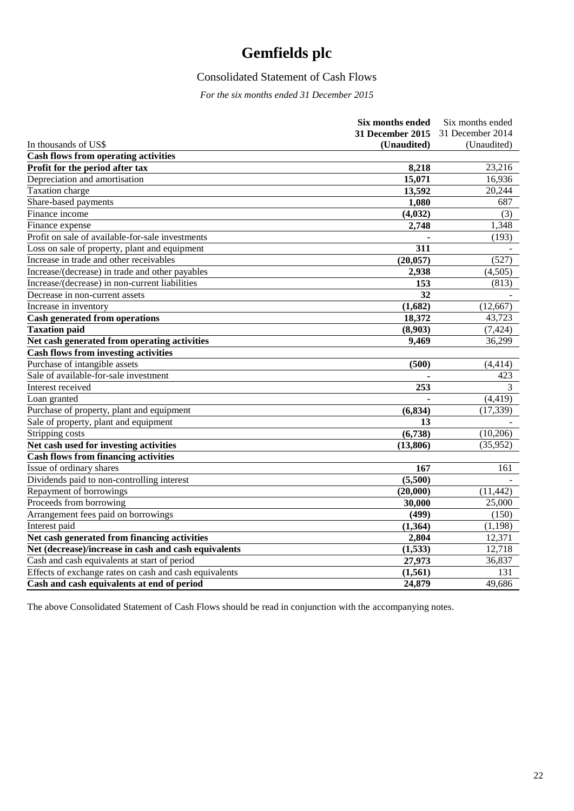## Consolidated Statement of Cash Flows

*For the six months ended 31 December 2015*

|                                                        | Six months ended        | Six months ended |
|--------------------------------------------------------|-------------------------|------------------|
|                                                        | <b>31 December 2015</b> | 31 December 2014 |
| In thousands of US\$                                   | (Unaudited)             | (Unaudited)      |
| <b>Cash flows from operating activities</b>            |                         |                  |
| Profit for the period after tax                        | 8,218                   | 23,216           |
| Depreciation and amortisation                          | 15,071                  | 16,936           |
| Taxation charge                                        | 13,592                  | 20,244           |
| Share-based payments                                   | 1,080                   | 687              |
| Finance income                                         | (4,032)                 | (3)              |
| Finance expense                                        | 2,748                   | 1,348            |
| Profit on sale of available-for-sale investments       |                         | (193)            |
| Loss on sale of property, plant and equipment          | 311                     |                  |
| Increase in trade and other receivables                | (20, 057)               | (527)            |
| Increase/(decrease) in trade and other payables        | 2,938                   | (4,505)          |
| Increase/(decrease) in non-current liabilities         | 153                     | (813)            |
| Decrease in non-current assets                         | 32                      |                  |
| Increase in inventory                                  | (1,682)                 | (12, 667)        |
| <b>Cash generated from operations</b>                  | 18,372                  | 43,723           |
| <b>Taxation paid</b>                                   | (8,903)                 | (7, 424)         |
| Net cash generated from operating activities           | 9,469                   | 36,299           |
| <b>Cash flows from investing activities</b>            |                         |                  |
| Purchase of intangible assets                          | (500)                   | (4, 414)         |
| Sale of available-for-sale investment                  |                         | 423              |
| Interest received                                      | 253                     | 3                |
| Loan granted                                           |                         | (4, 419)         |
| Purchase of property, plant and equipment              | (6, 834)                | (17, 339)        |
| Sale of property, plant and equipment                  | 13                      |                  |
| Stripping costs                                        | (6,738)                 | (10,206)         |
| Net cash used for investing activities                 | (13, 806)               | (35, 952)        |
| <b>Cash flows from financing activities</b>            |                         |                  |
| <b>Issue of ordinary shares</b>                        | 167                     | 161              |
| Dividends paid to non-controlling interest             | (5,500)                 |                  |
| Repayment of borrowings                                | (20,000)                | (11, 442)        |
| Proceeds from borrowing                                | 30,000                  | 25,000           |
| Arrangement fees paid on borrowings                    | (499)                   | (150)            |
| Interest paid                                          | (1,364)                 | (1, 198)         |
| Net cash generated from financing activities           | 2,804                   | 12,371           |
| Net (decrease)/increase in cash and cash equivalents   | (1,533)                 | 12,718           |
| Cash and cash equivalents at start of period           | 27,973                  | 36,837           |
| Effects of exchange rates on cash and cash equivalents | (1, 561)                | 131              |
| Cash and cash equivalents at end of period             | 24,879                  | 49,686           |

The above Consolidated Statement of Cash Flows should be read in conjunction with the accompanying notes.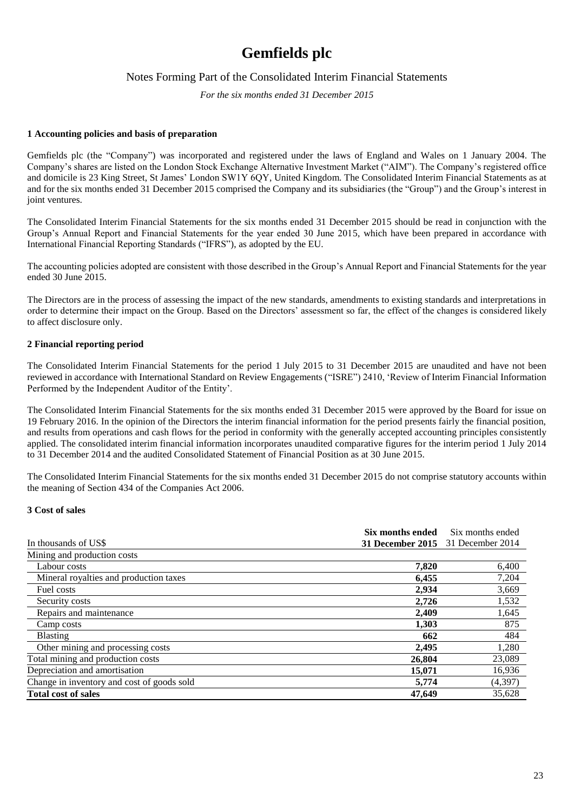#### Notes Forming Part of the Consolidated Interim Financial Statements

*For the six months ended 31 December 2015*

#### **1 Accounting policies and basis of preparation**

Gemfields plc (the "Company") was incorporated and registered under the laws of England and Wales on 1 January 2004. The Company's shares are listed on the London Stock Exchange Alternative Investment Market ("AIM"). The Company's registered office and domicile is 23 King Street, St James' London SW1Y 6QY, United Kingdom. The Consolidated Interim Financial Statements as at and for the six months ended 31 December 2015 comprised the Company and its subsidiaries (the "Group") and the Group's interest in joint ventures.

The Consolidated Interim Financial Statements for the six months ended 31 December 2015 should be read in conjunction with the Group's Annual Report and Financial Statements for the year ended 30 June 2015, which have been prepared in accordance with International Financial Reporting Standards ("IFRS"), as adopted by the EU.

The accounting policies adopted are consistent with those described in the Group's Annual Report and Financial Statements for the year ended 30 June 2015.

The Directors are in the process of assessing the impact of the new standards, amendments to existing standards and interpretations in order to determine their impact on the Group. Based on the Directors' assessment so far, the effect of the changes is considered likely to affect disclosure only.

#### **2 Financial reporting period**

The Consolidated Interim Financial Statements for the period 1 July 2015 to 31 December 2015 are unaudited and have not been reviewed in accordance with International Standard on Review Engagements ("ISRE") 2410, 'Review of Interim Financial Information Performed by the Independent Auditor of the Entity'.

The Consolidated Interim Financial Statements for the six months ended 31 December 2015 were approved by the Board for issue on 19 February 2016. In the opinion of the Directors the interim financial information for the period presents fairly the financial position, and results from operations and cash flows for the period in conformity with the generally accepted accounting principles consistently applied. The consolidated interim financial information incorporates unaudited comparative figures for the interim period 1 July 2014 to 31 December 2014 and the audited Consolidated Statement of Financial Position as at 30 June 2015.

The Consolidated Interim Financial Statements for the six months ended 31 December 2015 do not comprise statutory accounts within the meaning of Section 434 of the Companies Act 2006.

#### **3 Cost of sales**

|                                            | Six months ended                  | Six months ended |
|--------------------------------------------|-----------------------------------|------------------|
| In thousands of US\$                       | 31 December 2015 31 December 2014 |                  |
| Mining and production costs                |                                   |                  |
| Labour costs                               | 7,820                             | 6,400            |
| Mineral royalties and production taxes     | 6.455                             | 7,204            |
| Fuel costs                                 | 2,934                             | 3,669            |
| Security costs                             | 2,726                             | 1,532            |
| Repairs and maintenance                    | 2,409                             | 1,645            |
| Camp costs                                 | 1.303                             | 875              |
| <b>Blasting</b>                            | 662                               | 484              |
| Other mining and processing costs          | 2.495                             | 1,280            |
| Total mining and production costs          | 26,804                            | 23,089           |
| Depreciation and amortisation              | 15,071                            | 16,936           |
| Change in inventory and cost of goods sold | 5,774                             | (4,397)          |
| <b>Total cost of sales</b>                 | 47.649                            | 35,628           |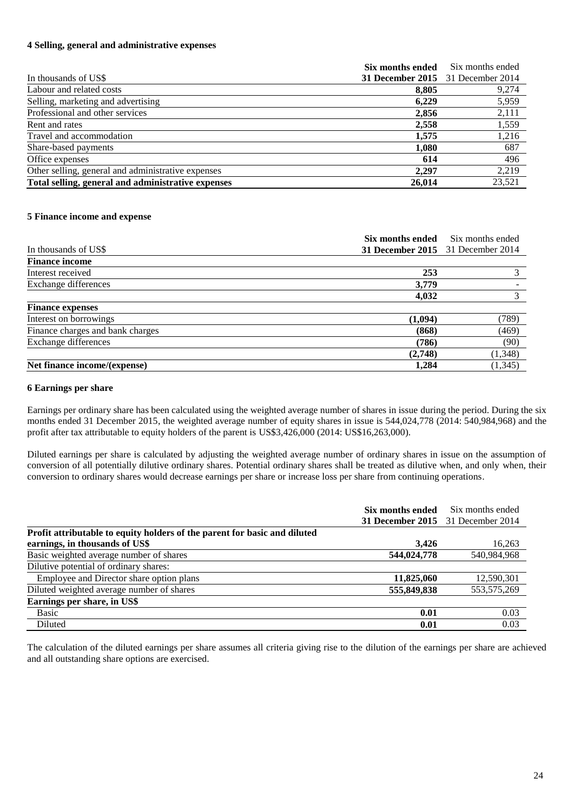#### **4 Selling, general and administrative expenses**

|                                                    | Six months ended                  | Six months ended |
|----------------------------------------------------|-----------------------------------|------------------|
| In thousands of US\$                               | 31 December 2015 31 December 2014 |                  |
| Labour and related costs                           | 8,805                             | 9,274            |
| Selling, marketing and advertising                 | 6,229                             | 5,959            |
| Professional and other services                    | 2,856                             | 2,111            |
| Rent and rates                                     | 2,558                             | 1,559            |
| Travel and accommodation                           | 1,575                             | 1,216            |
| Share-based payments                               | 1,080                             | 687              |
| Office expenses                                    | 614                               | 496              |
| Other selling, general and administrative expenses | 2,297                             | 2,219            |
| Total selling, general and administrative expenses | 26,014                            | 23,521           |

#### **5 Finance income and expense**

|                                  | Six months ended                  | Six months ended |
|----------------------------------|-----------------------------------|------------------|
| In thousands of US\$             | 31 December 2015 31 December 2014 |                  |
| <b>Finance income</b>            |                                   |                  |
| Interest received                | 253                               |                  |
| Exchange differences             | 3,779                             |                  |
|                                  | 4,032                             | 3                |
| <b>Finance expenses</b>          |                                   |                  |
| Interest on borrowings           | (1,094)                           | (789)            |
| Finance charges and bank charges | (868)                             | (469)            |
| Exchange differences             | (786)                             | (90)             |
|                                  | (2,748)                           | (1, 348)         |
| Net finance income/(expense)     | 1,284                             | (1, 345)         |

#### **6 Earnings per share**

Earnings per ordinary share has been calculated using the weighted average number of shares in issue during the period. During the six months ended 31 December 2015, the weighted average number of equity shares in issue is 544,024,778 (2014: 540,984,968) and the profit after tax attributable to equity holders of the parent is US\$3,426,000 (2014: US\$16,263,000).

Diluted earnings per share is calculated by adjusting the weighted average number of ordinary shares in issue on the assumption of conversion of all potentially dilutive ordinary shares. Potential ordinary shares shall be treated as dilutive when, and only when, their conversion to ordinary shares would decrease earnings per share or increase loss per share from continuing operations.

|                                                                           | Six months ended                  | Six months ended |
|---------------------------------------------------------------------------|-----------------------------------|------------------|
|                                                                           | 31 December 2015 31 December 2014 |                  |
| Profit attributable to equity holders of the parent for basic and diluted |                                   |                  |
| earnings, in thousands of US\$                                            | 3,426                             | 16,263           |
| Basic weighted average number of shares                                   | 544,024,778                       | 540,984,968      |
| Dilutive potential of ordinary shares:                                    |                                   |                  |
| Employee and Director share option plans                                  | 11,825,060                        | 12,590,301       |
| Diluted weighted average number of shares                                 | 555,849,838                       | 553, 575, 269    |
| Earnings per share, in US\$                                               |                                   |                  |
| Basic                                                                     | 0.01                              | 0.03             |
| Diluted                                                                   | 0.01                              | 0.03             |

The calculation of the diluted earnings per share assumes all criteria giving rise to the dilution of the earnings per share are achieved and all outstanding share options are exercised.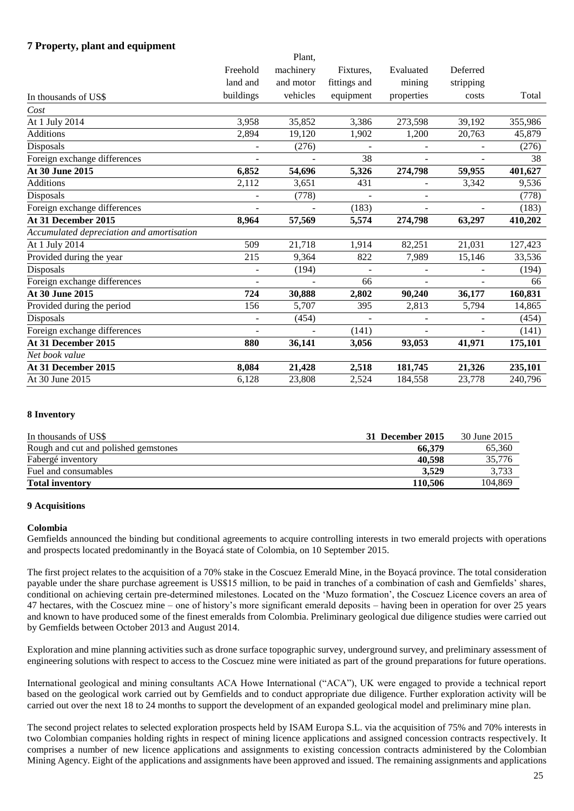#### **7 Property, plant and equipment**

|                          | Plant,    |              |                |                          |         |
|--------------------------|-----------|--------------|----------------|--------------------------|---------|
| Freehold                 | machinery | Fixtures,    | Evaluated      | Deferred                 |         |
| land and                 | and motor | fittings and | mining         | stripping                |         |
| buildings                | vehicles  | equipment    | properties     | costs                    | Total   |
|                          |           |              |                |                          |         |
| 3,958                    | 35,852    | 3,386        | 273,598        | 39,192                   | 355,986 |
| 2,894                    | 19,120    | 1,902        | 1,200          | 20,763                   | 45,879  |
|                          | (276)     |              |                |                          | (276)   |
|                          |           | 38           |                |                          | 38      |
| 6,852                    | 54,696    | 5,326        | 274,798        | 59,955                   | 401,627 |
| 2,112                    | 3,651     | 431          |                | 3,342                    | 9,536   |
|                          | (778)     |              |                |                          | (778)   |
|                          |           | (183)        | $\overline{a}$ | $\overline{\phantom{a}}$ | (183)   |
| 8,964                    | 57,569    | 5,574        | 274,798        | 63,297                   | 410,202 |
|                          |           |              |                |                          |         |
| 509                      | 21,718    | 1,914        | 82,251         | 21,031                   | 127,423 |
| 215                      | 9,364     | 822          | 7,989          | 15,146                   | 33,536  |
| $\overline{\phantom{a}}$ | (194)     |              |                |                          | (194)   |
|                          |           | 66           |                |                          | 66      |
| 724                      | 30,888    | 2,802        | 90,240         | 36,177                   | 160,831 |
| 156                      | 5,707     | 395          | 2,813          | 5,794                    | 14,865  |
| $\overline{\phantom{0}}$ | (454)     | $\sim$       |                |                          | (454)   |
|                          |           | (141)        |                |                          | (141)   |
| 880                      | 36,141    | 3,056        | 93,053         | 41,971                   | 175,101 |
|                          |           |              |                |                          |         |
| 8,084                    | 21,428    | 2,518        | 181,745        | 21,326                   | 235,101 |
| 6,128                    | 23,808    | 2,524        | 184,558        | 23,778                   | 240,796 |
|                          |           |              |                |                          |         |

#### **8 Inventory**

| In thousands of US\$                 | 31 December 2015 | 30 June 2015 |
|--------------------------------------|------------------|--------------|
| Rough and cut and polished gemstones | 66.379           | 65,360       |
| Fabergé inventory                    | 40.598           | 35,776       |
| Fuel and consumables                 | 3.529            | 3,733        |
| <b>Total inventory</b>               | 110.506          | 104,869      |

#### **9 Acquisitions**

#### **Colombia**

Gemfields announced the binding but conditional agreements to acquire controlling interests in two emerald projects with operations and prospects located predominantly in the Boyacá state of Colombia, on 10 September 2015.

The first project relates to the acquisition of a 70% stake in the Coscuez Emerald Mine, in the Boyacá province. The total consideration payable under the share purchase agreement is US\$15 million, to be paid in tranches of a combination of cash and Gemfields' shares, conditional on achieving certain pre-determined milestones. Located on the 'Muzo formation', the Coscuez Licence covers an area of 47 hectares, with the Coscuez mine – one of history's more significant emerald deposits – having been in operation for over 25 years and known to have produced some of the finest emeralds from Colombia. Preliminary geological due diligence studies were carried out by Gemfields between October 2013 and August 2014.

Exploration and mine planning activities such as drone surface topographic survey, underground survey, and preliminary assessment of engineering solutions with respect to access to the Coscuez mine were initiated as part of the ground preparations for future operations.

International geological and mining consultants ACA Howe International ("ACA"), UK were engaged to provide a technical report based on the geological work carried out by Gemfields and to conduct appropriate due diligence. Further exploration activity will be carried out over the next 18 to 24 months to support the development of an expanded geological model and preliminary mine plan.

The second project relates to selected exploration prospects held by ISAM Europa S.L. via the acquisition of 75% and 70% interests in two Colombian companies holding rights in respect of mining licence applications and assigned concession contracts respectively. It comprises a number of new licence applications and assignments to existing concession contracts administered by the Colombian Mining Agency. Eight of the applications and assignments have been approved and issued. The remaining assignments and applications